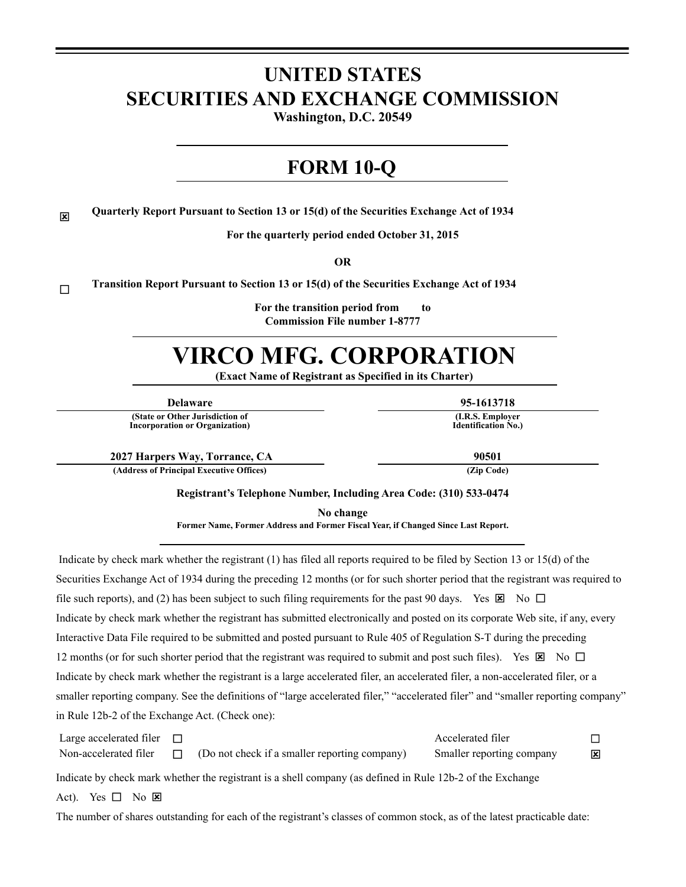# **UNITED STATES SECURITIES AND EXCHANGE COMMISSION**

**Washington, D.C. 20549**

## **FORM 10-Q**

**Quarterly Report Pursuant to Section 13 or 15(d) of the Securities Exchange Act of 1934** 冈

**For the quarterly period ended October 31, 2015**

**OR**

**Transition Report Pursuant to Section 13 or 15(d) of the Securities Exchange Act of 1934**  $\Box$ 

> **For the transition period from to Commission File number 1-8777**

# **VIRCO MFG. CORPORATION**

**(Exact Name of Registrant as Specified in its Charter)**

**Delaware 95-1613718 (State or Other Jurisdiction of Incorporation or Organization) (I.R.S. Employer Identification No.) 2027 Harpers Way, Torrance, CA 90501 (Address of Principal Executive Offices) (Zip Code)**

**Registrant's Telephone Number, Including Area Code: (310) 533-0474**

**No change**

**Former Name, Former Address and Former Fiscal Year, if Changed Since Last Report.**

 Indicate by check mark whether the registrant (1) has filed all reports required to be filed by Section 13 or 15(d) of the Securities Exchange Act of 1934 during the preceding 12 months (or for such shorter period that the registrant was required to file such reports), and (2) has been subject to such filing requirements for the past 90 days. Yes  $\boxtimes$  No  $\square$ Indicate by check mark whether the registrant has submitted electronically and posted on its corporate Web site, if any, every Interactive Data File required to be submitted and posted pursuant to Rule 405 of Regulation S-T during the preceding 12 months (or for such shorter period that the registrant was required to submit and post such files). Yes  $\boxtimes$  No  $\square$ Indicate by check mark whether the registrant is a large accelerated filer, an accelerated filer, a non-accelerated filer, or a smaller reporting company. See the definitions of "large accelerated filer," "accelerated filer" and "smaller reporting company" in Rule 12b-2 of the Exchange Act. (Check one):

| Large accelerated filer $\Box$  |   |                                                                                                            | Accelerated filer         | П.           |
|---------------------------------|---|------------------------------------------------------------------------------------------------------------|---------------------------|--------------|
| Non-accelerated filer           | П | (Do not check if a smaller reporting company)                                                              | Smaller reporting company | $\mathbf{x}$ |
| Act). Yes $\Box$ No $\boxtimes$ |   | Indicate by check mark whether the registrant is a shell company (as defined in Rule 12b-2 of the Exchange |                           |              |

The number of shares outstanding for each of the registrant's classes of common stock, as of the latest practicable date: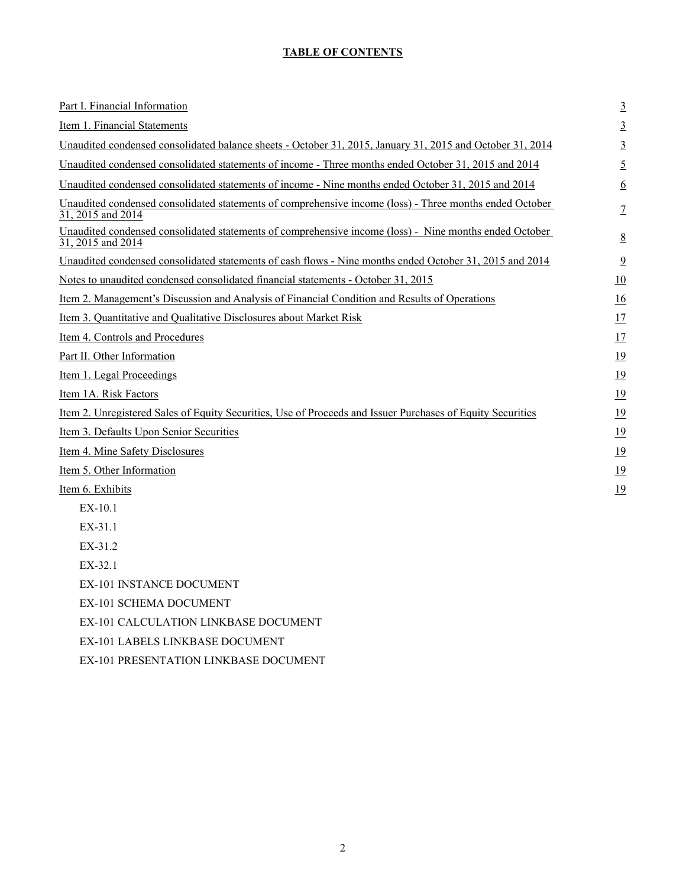## **TABLE OF CONTENTS**

| Part I. Financial Information                                                                                                                          | $\overline{3}$  |
|--------------------------------------------------------------------------------------------------------------------------------------------------------|-----------------|
| Item 1. Financial Statements                                                                                                                           | $\overline{3}$  |
| Unaudited condensed consolidated balance sheets - October 31, 2015, January 31, 2015 and October 31, 2014                                              | $\overline{3}$  |
| Unaudited condensed consolidated statements of income - Three months ended October 31, 2015 and 2014                                                   | $\overline{2}$  |
| Unaudited condensed consolidated statements of income - Nine months ended October 31, 2015 and 2014                                                    | $6\overline{6}$ |
| Unaudited condensed consolidated statements of comprehensive income (loss) - Three months ended October<br>$\overline{31, 2015}$ and $\overline{2014}$ | $\overline{1}$  |
| Unaudited condensed consolidated statements of comprehensive income (loss) - Nine months ended October<br>31, 2015 and 2014                            | $\underline{8}$ |
| Unaudited condensed consolidated statements of cash flows - Nine months ended October 31, 2015 and 2014                                                | $\overline{9}$  |
| Notes to unaudited condensed consolidated financial statements - October 31, 2015                                                                      | 10              |
| Item 2. Management's Discussion and Analysis of Financial Condition and Results of Operations                                                          | 16              |
| Item 3. Quantitative and Qualitative Disclosures about Market Risk                                                                                     | 17              |
| Item 4. Controls and Procedures                                                                                                                        | 17              |
| Part II. Other Information                                                                                                                             | 19              |
| Item 1. Legal Proceedings                                                                                                                              | 19              |
| Item 1A. Risk Factors                                                                                                                                  | 19              |
| Item 2. Unregistered Sales of Equity Securities, Use of Proceeds and Issuer Purchases of Equity Securities                                             | 19              |
| Item 3. Defaults Upon Senior Securities                                                                                                                | 19              |
| Item 4. Mine Safety Disclosures                                                                                                                        | 19              |
| Item 5. Other Information                                                                                                                              | 19              |
| Item 6. Exhibits                                                                                                                                       | 19              |
| EX-10.1                                                                                                                                                |                 |
| EX-31.1                                                                                                                                                |                 |
| $EX-31.2$                                                                                                                                              |                 |
| EX-32.1                                                                                                                                                |                 |
| <b>EX-101 INSTANCE DOCUMENT</b>                                                                                                                        |                 |
| <b>EX-101 SCHEMA DOCUMENT</b>                                                                                                                          |                 |
| <b>EX-101 CALCULATION LINKBASE DOCUMENT</b>                                                                                                            |                 |

EX-101 LABELS LINKBASE DOCUMENT

EX-101 PRESENTATION LINKBASE DOCUMENT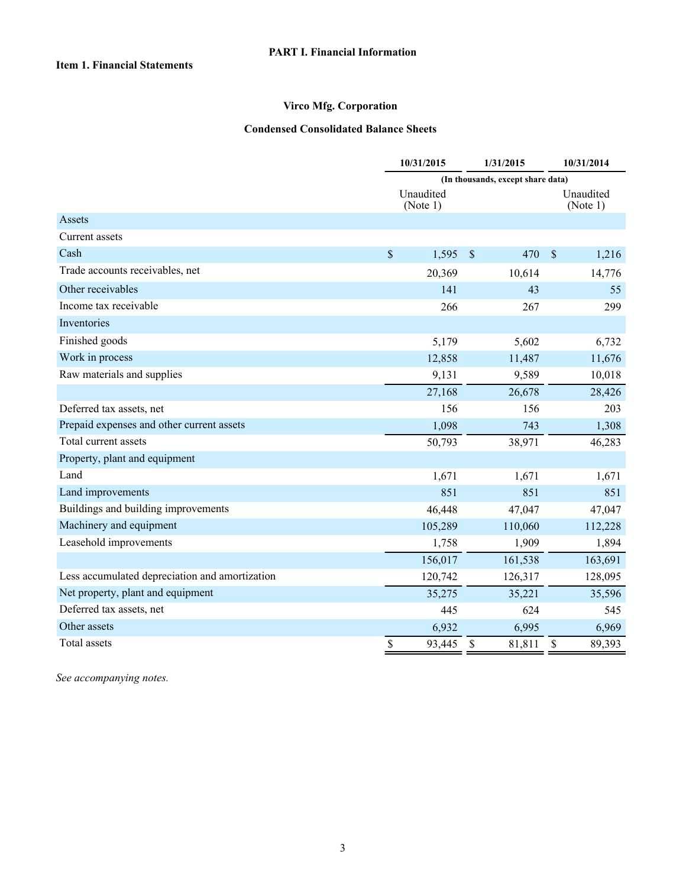#### **Condensed Consolidated Balance Sheets**

<span id="page-3-2"></span><span id="page-3-1"></span><span id="page-3-0"></span>

|                                                | 10/31/2015            | 1/31/2015                           | 10/31/2014             |  |
|------------------------------------------------|-----------------------|-------------------------------------|------------------------|--|
|                                                |                       | (In thousands, except share data)   |                        |  |
|                                                | Unaudited<br>(Note 1) |                                     | Unaudited<br>(Note 1)  |  |
| Assets                                         |                       |                                     |                        |  |
| Current assets                                 |                       |                                     |                        |  |
| Cash                                           | \$<br>1,595           | $\mathcal{S}$<br>470                | $\mathcal{S}$<br>1,216 |  |
| Trade accounts receivables, net                | 20,369                | 10,614                              | 14,776                 |  |
| Other receivables                              | 141                   | 43                                  | 55                     |  |
| Income tax receivable                          | 266                   | 267                                 | 299                    |  |
| Inventories                                    |                       |                                     |                        |  |
| Finished goods                                 | 5,179                 | 5,602                               | 6,732                  |  |
| Work in process                                | 12,858                | 11,487                              | 11,676                 |  |
| Raw materials and supplies                     | 9,131                 | 9,589                               | 10,018                 |  |
|                                                | 27,168                | 26,678                              | 28,426                 |  |
| Deferred tax assets, net                       | 156                   | 156                                 | 203                    |  |
| Prepaid expenses and other current assets      | 1,098                 | 743                                 | 1,308                  |  |
| Total current assets                           | 50,793                | 38,971                              | 46,283                 |  |
| Property, plant and equipment                  |                       |                                     |                        |  |
| Land                                           | 1,671                 | 1,671                               | 1,671                  |  |
| Land improvements                              | 851                   | 851                                 | 851                    |  |
| Buildings and building improvements            | 46,448                | 47,047                              | 47,047                 |  |
| Machinery and equipment                        | 105,289               | 110,060                             | 112,228                |  |
| Leasehold improvements                         | 1,758                 | 1,909                               | 1,894                  |  |
|                                                | 156,017               | 161,538                             | 163,691                |  |
| Less accumulated depreciation and amortization | 120,742               | 126,317                             | 128,095                |  |
| Net property, plant and equipment              | 35,275                | 35,221                              | 35,596                 |  |
| Deferred tax assets, net                       | 445                   | 624                                 | 545                    |  |
| Other assets                                   | 6,932                 | 6,995                               | 6,969                  |  |
| Total assets                                   | \$<br>93,445          | $\boldsymbol{\mathsf{S}}$<br>81,811 | \$<br>89,393           |  |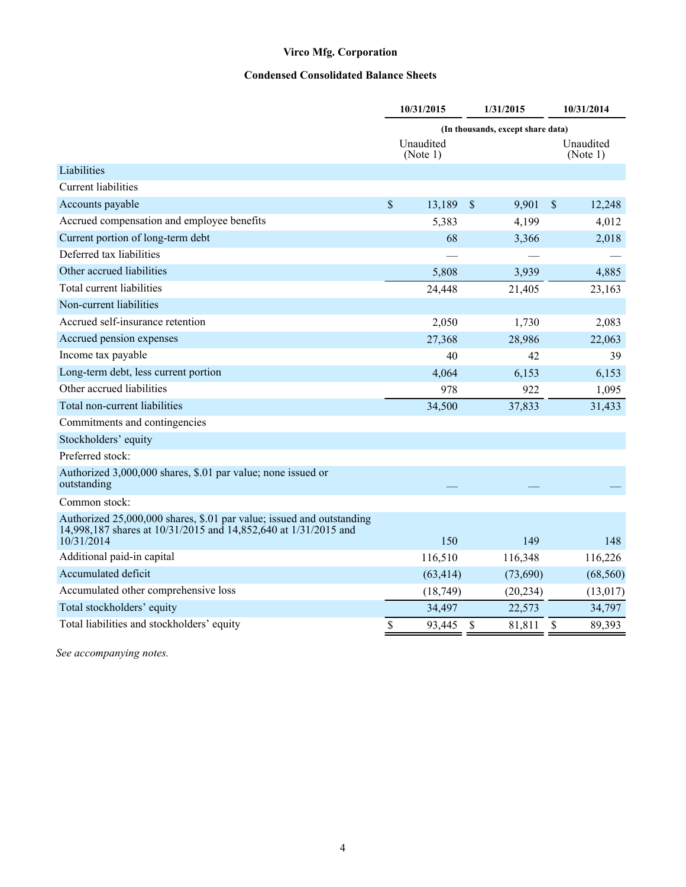## **Condensed Consolidated Balance Sheets**

|                                                                                                                                                        | 10/31/2015                        | 1/31/2015                 |           | 10/31/2014 |                       |
|--------------------------------------------------------------------------------------------------------------------------------------------------------|-----------------------------------|---------------------------|-----------|------------|-----------------------|
|                                                                                                                                                        | (In thousands, except share data) |                           |           |            |                       |
|                                                                                                                                                        | Unaudited<br>(Note 1)             |                           |           |            | Unaudited<br>(Note 1) |
| Liabilities                                                                                                                                            |                                   |                           |           |            |                       |
| <b>Current liabilities</b>                                                                                                                             |                                   |                           |           |            |                       |
| Accounts payable                                                                                                                                       | \$<br>13,189                      | $\boldsymbol{\mathsf{S}}$ | 9,901     | \$         | 12,248                |
| Accrued compensation and employee benefits                                                                                                             | 5,383                             |                           | 4,199     |            | 4,012                 |
| Current portion of long-term debt                                                                                                                      | 68                                |                           | 3,366     |            | 2,018                 |
| Deferred tax liabilities                                                                                                                               |                                   |                           |           |            |                       |
| Other accrued liabilities                                                                                                                              | 5,808                             |                           | 3,939     |            | 4,885                 |
| Total current liabilities                                                                                                                              | 24,448                            |                           | 21,405    |            | 23,163                |
| Non-current liabilities                                                                                                                                |                                   |                           |           |            |                       |
| Accrued self-insurance retention                                                                                                                       | 2,050                             |                           | 1,730     |            | 2,083                 |
| Accrued pension expenses                                                                                                                               | 27,368                            |                           | 28,986    |            | 22,063                |
| Income tax payable                                                                                                                                     | 40                                |                           | 42        |            | 39                    |
| Long-term debt, less current portion                                                                                                                   | 4,064                             |                           | 6,153     |            | 6,153                 |
| Other accrued liabilities                                                                                                                              | 978                               |                           | 922       |            | 1,095                 |
| Total non-current liabilities                                                                                                                          | 34,500                            |                           | 37,833    |            | 31,433                |
| Commitments and contingencies                                                                                                                          |                                   |                           |           |            |                       |
| Stockholders' equity                                                                                                                                   |                                   |                           |           |            |                       |
| Preferred stock:                                                                                                                                       |                                   |                           |           |            |                       |
| Authorized 3,000,000 shares, \$.01 par value; none issued or<br>outstanding                                                                            |                                   |                           |           |            |                       |
| Common stock:                                                                                                                                          |                                   |                           |           |            |                       |
| Authorized 25,000,000 shares, \$.01 par value; issued and outstanding<br>14,998,187 shares at 10/31/2015 and 14,852,640 at 1/31/2015 and<br>10/31/2014 | 150                               |                           | 149       |            | 148                   |
| Additional paid-in capital                                                                                                                             | 116,510                           |                           | 116,348   |            | 116,226               |
| Accumulated deficit                                                                                                                                    | (63, 414)                         |                           | (73,690)  |            | (68, 560)             |
| Accumulated other comprehensive loss                                                                                                                   | (18, 749)                         |                           | (20, 234) |            | (13, 017)             |
| Total stockholders' equity                                                                                                                             | 34,497                            |                           | 22,573    |            | 34,797                |
| Total liabilities and stockholders' equity                                                                                                             | \$<br>93,445                      | \$                        | 81,811    | \$         | 89,393                |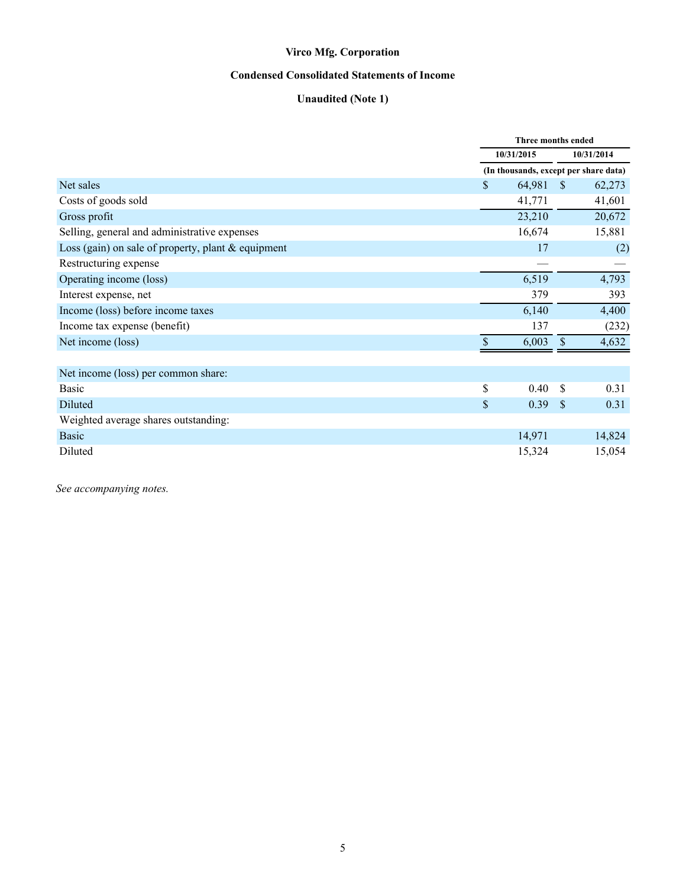#### **Condensed Consolidated Statements of Income**

## **Unaudited (Note 1)**

<span id="page-5-0"></span>

|                                                      | Three months ended |                                       |              |            |  |
|------------------------------------------------------|--------------------|---------------------------------------|--------------|------------|--|
|                                                      |                    | 10/31/2015                            |              | 10/31/2014 |  |
|                                                      |                    | (In thousands, except per share data) |              |            |  |
| Net sales                                            | \$                 | 64,981                                | $\mathbb{S}$ | 62,273     |  |
| Costs of goods sold                                  |                    | 41,771                                |              | 41,601     |  |
| Gross profit                                         |                    | 23,210                                |              | 20,672     |  |
| Selling, general and administrative expenses         |                    | 16,674                                |              | 15,881     |  |
| Loss (gain) on sale of property, plant $&$ equipment |                    | 17                                    |              | (2)        |  |
| Restructuring expense                                |                    |                                       |              |            |  |
| Operating income (loss)                              |                    | 6,519                                 |              | 4,793      |  |
| Interest expense, net                                |                    | 379                                   |              | 393        |  |
| Income (loss) before income taxes                    |                    | 6,140                                 |              | 4,400      |  |
| Income tax expense (benefit)                         |                    | 137                                   |              | (232)      |  |
| Net income (loss)                                    | \$                 | 6,003                                 | \$           | 4,632      |  |
|                                                      |                    |                                       |              |            |  |
| Net income (loss) per common share:                  |                    |                                       |              |            |  |
| <b>Basic</b>                                         | \$                 | 0.40                                  | \$           | 0.31       |  |
| Diluted                                              | \$                 | 0.39                                  | \$           | 0.31       |  |
| Weighted average shares outstanding:                 |                    |                                       |              |            |  |
| <b>Basic</b>                                         |                    | 14,971                                |              | 14,824     |  |
| Diluted                                              |                    | 15,324                                |              | 15,054     |  |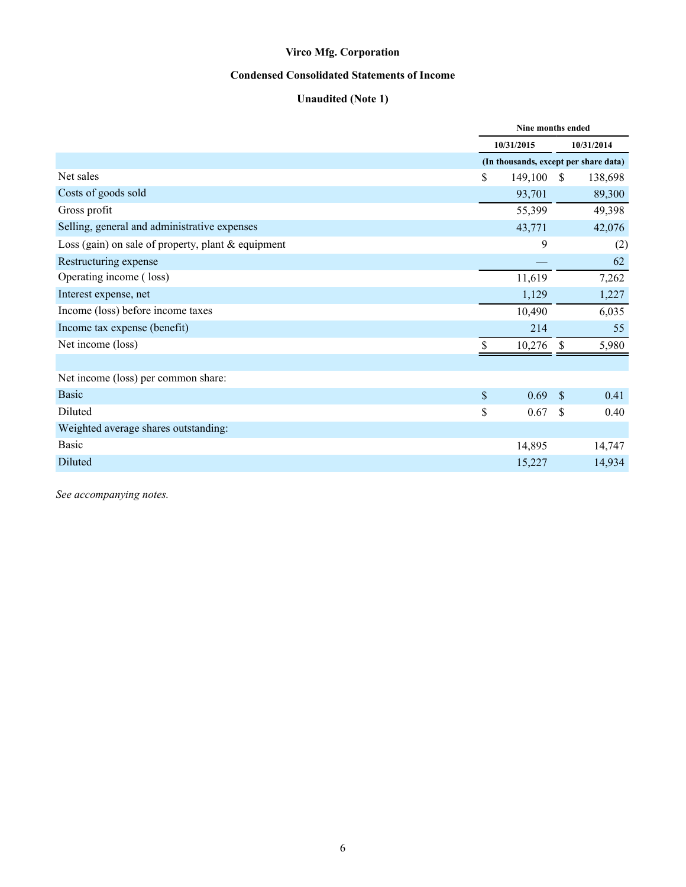#### **Condensed Consolidated Statements of Income**

## **Unaudited (Note 1)**

<span id="page-6-0"></span>

|                                                      | Nine months ended |            |                                       |            |  |
|------------------------------------------------------|-------------------|------------|---------------------------------------|------------|--|
|                                                      |                   | 10/31/2015 |                                       | 10/31/2014 |  |
|                                                      |                   |            | (In thousands, except per share data) |            |  |
| Net sales                                            | \$                | 149,100    | <sup>\$</sup>                         | 138,698    |  |
| Costs of goods sold                                  |                   | 93,701     |                                       | 89,300     |  |
| Gross profit                                         |                   | 55,399     |                                       | 49,398     |  |
| Selling, general and administrative expenses         |                   | 43,771     |                                       | 42,076     |  |
| Loss (gain) on sale of property, plant $&$ equipment |                   | 9          |                                       | (2)        |  |
| Restructuring expense                                |                   |            |                                       | 62         |  |
| Operating income (loss)                              |                   | 11,619     |                                       | 7,262      |  |
| Interest expense, net                                |                   | 1,129      |                                       | 1,227      |  |
| Income (loss) before income taxes                    |                   | 10,490     |                                       | 6,035      |  |
| Income tax expense (benefit)                         |                   | 214        |                                       | 55         |  |
| Net income (loss)                                    | \$                | 10,276     | \$                                    | 5,980      |  |
|                                                      |                   |            |                                       |            |  |
| Net income (loss) per common share:                  |                   |            |                                       |            |  |
| <b>Basic</b>                                         | \$                | 0.69       | $\mathbb{S}$                          | 0.41       |  |
| Diluted                                              | \$                | 0.67       | \$                                    | 0.40       |  |
| Weighted average shares outstanding:                 |                   |            |                                       |            |  |
| Basic                                                |                   | 14,895     |                                       | 14,747     |  |
| Diluted                                              |                   | 15,227     |                                       | 14,934     |  |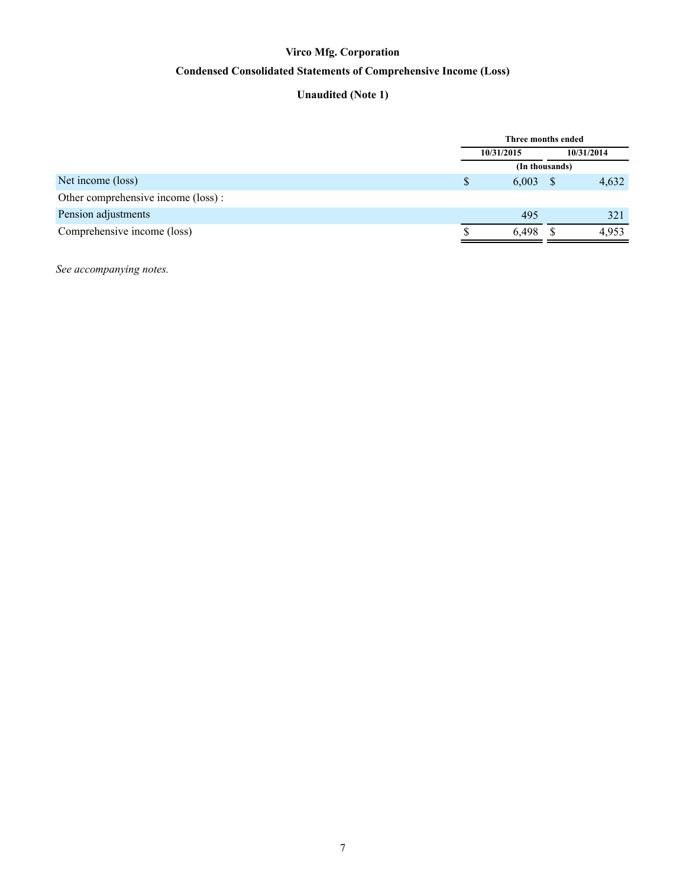## **Condensed Consolidated Statements of Comprehensive Income (Loss)**

## **Unaudited (Note 1)**

<span id="page-7-0"></span>

|   | Three months ended |            |                |  |  |  |
|---|--------------------|------------|----------------|--|--|--|
|   |                    |            | 10/31/2014     |  |  |  |
|   |                    |            |                |  |  |  |
| S | 6,003              |            | 4,632          |  |  |  |
|   |                    |            |                |  |  |  |
|   | 495                |            | 321            |  |  |  |
|   | 6.498              |            | 4.953          |  |  |  |
|   |                    | 10/31/2015 | (In thousands) |  |  |  |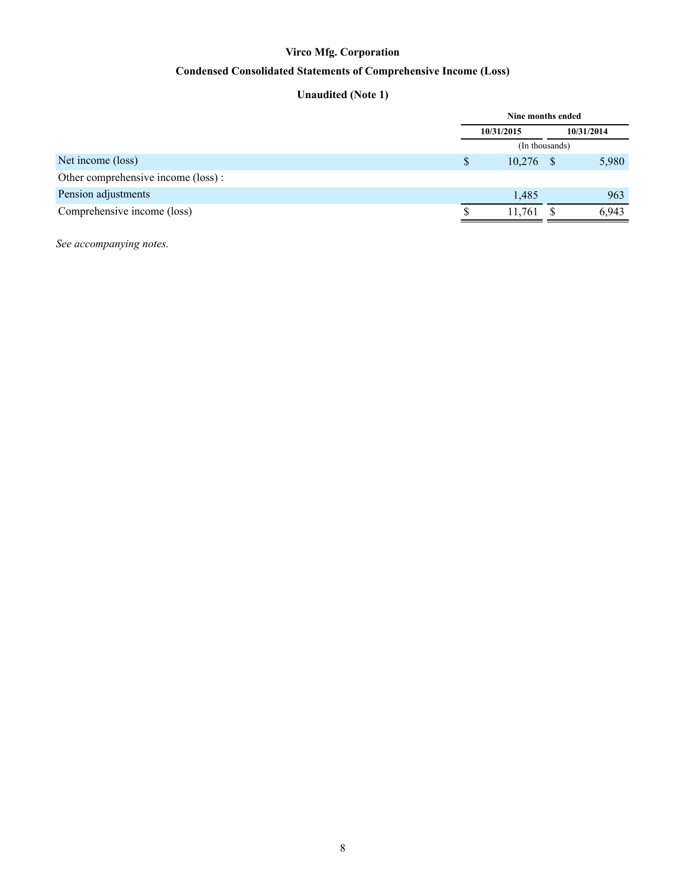## **Condensed Consolidated Statements of Comprehensive Income (Loss)**

## **Unaudited (Note 1)**

<span id="page-8-0"></span>

|                                    | Nine months ended |                |            |  |  |  |
|------------------------------------|-------------------|----------------|------------|--|--|--|
|                                    | 10/31/2015        |                | 10/31/2014 |  |  |  |
|                                    |                   | (In thousands) |            |  |  |  |
| Net income (loss)                  | \$<br>10,276      |                | 5,980      |  |  |  |
| Other comprehensive income (loss): |                   |                |            |  |  |  |
| Pension adjustments                | 1,485             |                | 963        |  |  |  |
| Comprehensive income (loss)        | 11.761            |                | 6,943      |  |  |  |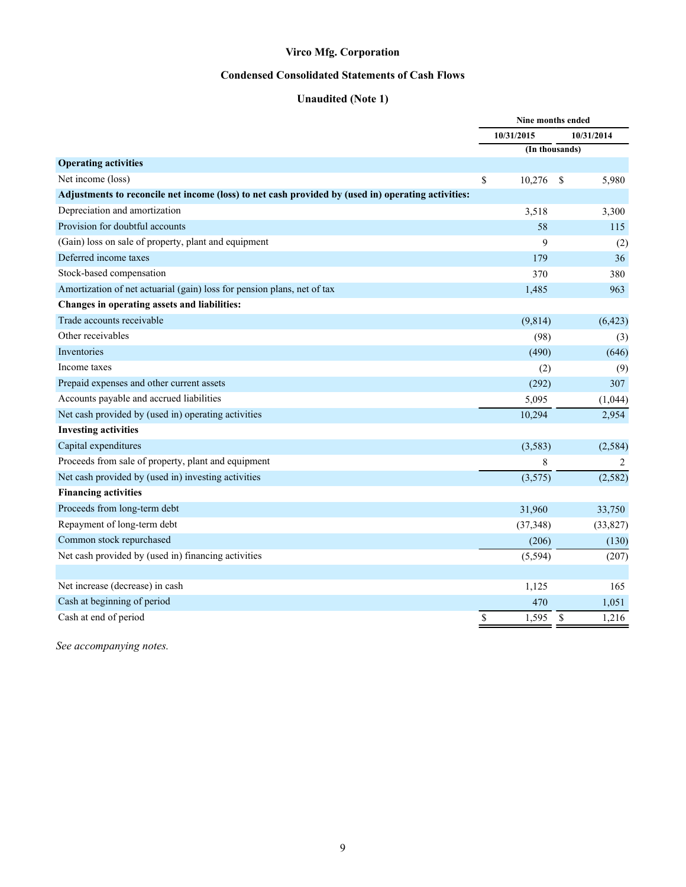#### **Condensed Consolidated Statements of Cash Flows**

## **Unaudited (Note 1)**

<span id="page-9-0"></span>

|                                                                                                    | Nine months ended |                |             |           |
|----------------------------------------------------------------------------------------------------|-------------------|----------------|-------------|-----------|
|                                                                                                    |                   | 10/31/2015     | 10/31/2014  |           |
|                                                                                                    |                   | (In thousands) |             |           |
| <b>Operating activities</b>                                                                        |                   |                |             |           |
| Net income (loss)                                                                                  | \$                | 10,276         | - \$        | 5,980     |
| Adjustments to reconcile net income (loss) to net cash provided by (used in) operating activities: |                   |                |             |           |
| Depreciation and amortization                                                                      |                   | 3,518          |             | 3,300     |
| Provision for doubtful accounts                                                                    |                   | 58             |             | 115       |
| (Gain) loss on sale of property, plant and equipment                                               |                   | 9              |             | (2)       |
| Deferred income taxes                                                                              |                   | 179            |             | 36        |
| Stock-based compensation                                                                           |                   | 370            |             | 380       |
| Amortization of net actuarial (gain) loss for pension plans, net of tax                            |                   | 1,485          |             | 963       |
| Changes in operating assets and liabilities:                                                       |                   |                |             |           |
| Trade accounts receivable                                                                          |                   | (9, 814)       |             | (6, 423)  |
| Other receivables                                                                                  |                   | (98)           |             | (3)       |
| Inventories                                                                                        |                   | (490)          |             | (646)     |
| Income taxes                                                                                       |                   | (2)            |             | (9)       |
| Prepaid expenses and other current assets                                                          |                   | (292)          |             | 307       |
| Accounts payable and accrued liabilities                                                           |                   | 5,095          |             | (1,044)   |
| Net cash provided by (used in) operating activities                                                |                   | 10,294         |             | 2,954     |
| <b>Investing activities</b>                                                                        |                   |                |             |           |
| Capital expenditures                                                                               |                   | (3, 583)       |             | (2, 584)  |
| Proceeds from sale of property, plant and equipment                                                |                   | 8              |             | 2         |
| Net cash provided by (used in) investing activities                                                |                   | (3,575)        |             | (2, 582)  |
| <b>Financing activities</b>                                                                        |                   |                |             |           |
| Proceeds from long-term debt                                                                       |                   | 31,960         |             | 33,750    |
| Repayment of long-term debt                                                                        |                   | (37, 348)      |             | (33, 827) |
| Common stock repurchased                                                                           |                   | (206)          |             | (130)     |
| Net cash provided by (used in) financing activities                                                |                   | (5, 594)       |             | (207)     |
|                                                                                                    |                   |                |             |           |
| Net increase (decrease) in cash                                                                    |                   | 1,125          |             | 165       |
| Cash at beginning of period                                                                        |                   | 470            |             | 1,051     |
| Cash at end of period                                                                              | \$                | 1,595          | $\mathbf S$ | 1,216     |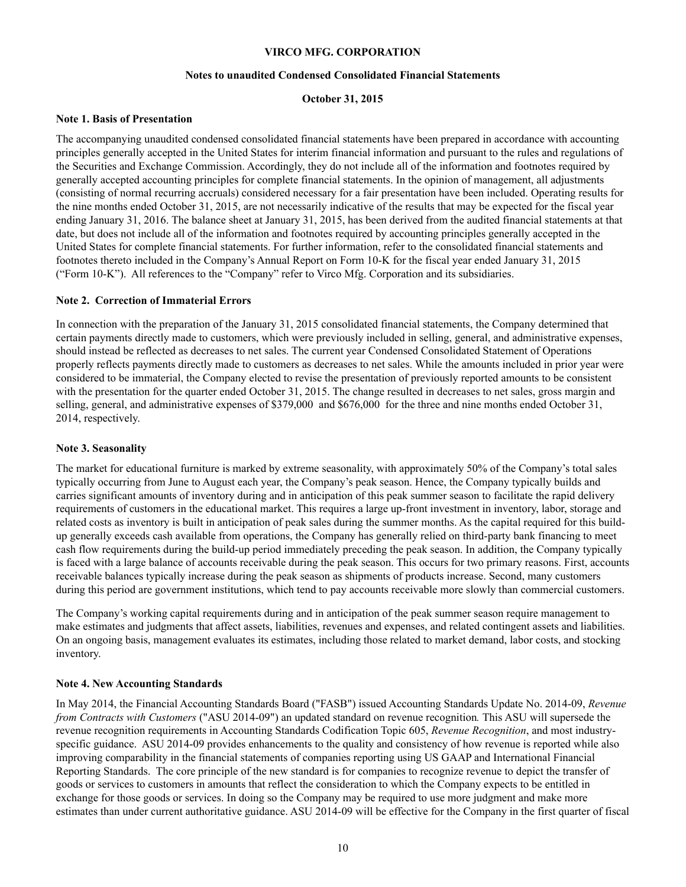#### **VIRCO MFG. CORPORATION**

#### **Notes to unaudited Condensed Consolidated Financial Statements**

#### **October 31, 2015**

#### <span id="page-10-0"></span>**Note 1. Basis of Presentation**

The accompanying unaudited condensed consolidated financial statements have been prepared in accordance with accounting principles generally accepted in the United States for interim financial information and pursuant to the rules and regulations of the Securities and Exchange Commission. Accordingly, they do not include all of the information and footnotes required by generally accepted accounting principles for complete financial statements. In the opinion of management, all adjustments (consisting of normal recurring accruals) considered necessary for a fair presentation have been included. Operating results for the nine months ended October 31, 2015, are not necessarily indicative of the results that may be expected for the fiscal year ending January 31, 2016. The balance sheet at January 31, 2015, has been derived from the audited financial statements at that date, but does not include all of the information and footnotes required by accounting principles generally accepted in the United States for complete financial statements. For further information, refer to the consolidated financial statements and footnotes thereto included in the Company's Annual Report on Form 10-K for the fiscal year ended January 31, 2015 ("Form 10-K"). All references to the "Company" refer to Virco Mfg. Corporation and its subsidiaries.

#### **Note 2. Correction of Immaterial Errors**

In connection with the preparation of the January 31, 2015 consolidated financial statements, the Company determined that certain payments directly made to customers, which were previously included in selling, general, and administrative expenses, should instead be reflected as decreases to net sales. The current year Condensed Consolidated Statement of Operations properly reflects payments directly made to customers as decreases to net sales. While the amounts included in prior year were considered to be immaterial, the Company elected to revise the presentation of previously reported amounts to be consistent with the presentation for the quarter ended October 31, 2015. The change resulted in decreases to net sales, gross margin and selling, general, and administrative expenses of \$379,000 and \$676,000 for the three and nine months ended October 31, 2014, respectively.

#### **Note 3. Seasonality**

The market for educational furniture is marked by extreme seasonality, with approximately 50% of the Company's total sales typically occurring from June to August each year, the Company's peak season. Hence, the Company typically builds and carries significant amounts of inventory during and in anticipation of this peak summer season to facilitate the rapid delivery requirements of customers in the educational market. This requires a large up-front investment in inventory, labor, storage and related costs as inventory is built in anticipation of peak sales during the summer months. As the capital required for this buildup generally exceeds cash available from operations, the Company has generally relied on third-party bank financing to meet cash flow requirements during the build-up period immediately preceding the peak season. In addition, the Company typically is faced with a large balance of accounts receivable during the peak season. This occurs for two primary reasons. First, accounts receivable balances typically increase during the peak season as shipments of products increase. Second, many customers during this period are government institutions, which tend to pay accounts receivable more slowly than commercial customers.

The Company's working capital requirements during and in anticipation of the peak summer season require management to make estimates and judgments that affect assets, liabilities, revenues and expenses, and related contingent assets and liabilities. On an ongoing basis, management evaluates its estimates, including those related to market demand, labor costs, and stocking inventory.

#### **Note 4. New Accounting Standards**

In May 2014, the Financial Accounting Standards Board ("FASB") issued Accounting Standards Update No. 2014-09, *Revenue from Contracts with Customers* ("ASU 2014-09") an updated standard on revenue recognition*.* This ASU will supersede the revenue recognition requirements in Accounting Standards Codification Topic 605, *Revenue Recognition*, and most industryspecific guidance. ASU 2014-09 provides enhancements to the quality and consistency of how revenue is reported while also improving comparability in the financial statements of companies reporting using US GAAP and International Financial Reporting Standards. The core principle of the new standard is for companies to recognize revenue to depict the transfer of goods or services to customers in amounts that reflect the consideration to which the Company expects to be entitled in exchange for those goods or services. In doing so the Company may be required to use more judgment and make more estimates than under current authoritative guidance. ASU 2014-09 will be effective for the Company in the first quarter of fiscal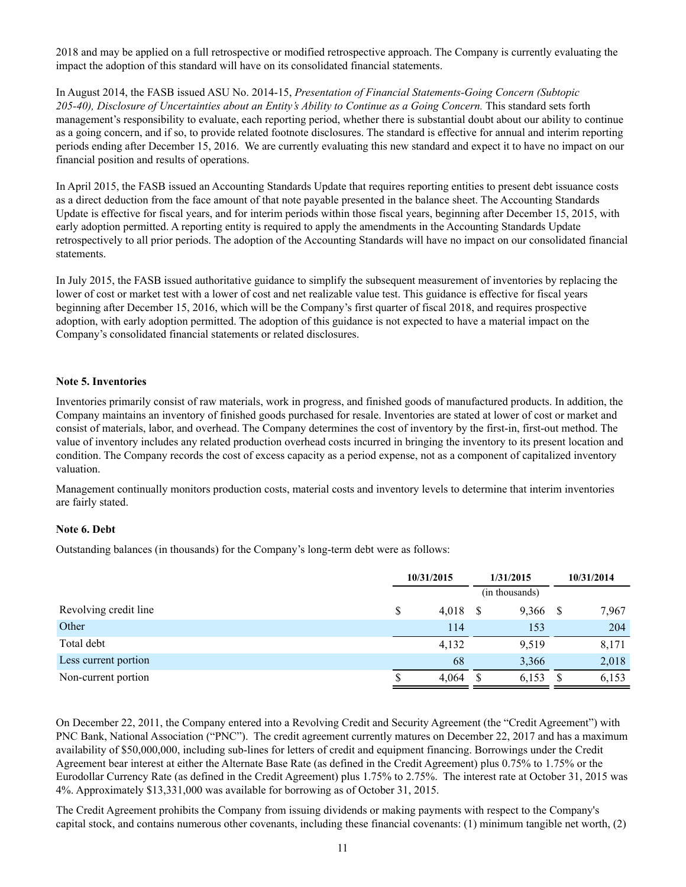2018 and may be applied on a full retrospective or modified retrospective approach. The Company is currently evaluating the impact the adoption of this standard will have on its consolidated financial statements.

In August 2014, the FASB issued ASU No. 2014-15, *Presentation of Financial Statements-Going Concern (Subtopic 205-40), Disclosure of Uncertainties about an Entity's Ability to Continue as a Going Concern.* This standard sets forth management's responsibility to evaluate, each reporting period, whether there is substantial doubt about our ability to continue as a going concern, and if so, to provide related footnote disclosures. The standard is effective for annual and interim reporting periods ending after December 15, 2016. We are currently evaluating this new standard and expect it to have no impact on our financial position and results of operations.

In April 2015, the FASB issued an Accounting Standards Update that requires reporting entities to present debt issuance costs as a direct deduction from the face amount of that note payable presented in the balance sheet. The Accounting Standards Update is effective for fiscal years, and for interim periods within those fiscal years, beginning after December 15, 2015, with early adoption permitted. A reporting entity is required to apply the amendments in the Accounting Standards Update retrospectively to all prior periods. The adoption of the Accounting Standards will have no impact on our consolidated financial statements.

In July 2015, the FASB issued authoritative guidance to simplify the subsequent measurement of inventories by replacing the lower of cost or market test with a lower of cost and net realizable value test. This guidance is effective for fiscal years beginning after December 15, 2016, which will be the Company's first quarter of fiscal 2018, and requires prospective adoption, with early adoption permitted. The adoption of this guidance is not expected to have a material impact on the Company's consolidated financial statements or related disclosures.

#### **Note 5. Inventories**

Inventories primarily consist of raw materials, work in progress, and finished goods of manufactured products. In addition, the Company maintains an inventory of finished goods purchased for resale. Inventories are stated at lower of cost or market and consist of materials, labor, and overhead. The Company determines the cost of inventory by the first-in, first-out method. The value of inventory includes any related production overhead costs incurred in bringing the inventory to its present location and condition. The Company records the cost of excess capacity as a period expense, not as a component of capitalized inventory valuation.

Management continually monitors production costs, material costs and inventory levels to determine that interim inventories are fairly stated.

#### **Note 6. Debt**

Outstanding balances (in thousands) for the Company's long-term debt were as follows:

|                       | 10/31/2015 |     | 1/31/2015      |  |      | 10/31/2014 |
|-----------------------|------------|-----|----------------|--|------|------------|
|                       |            |     | (in thousands) |  |      |            |
| Revolving credit line | S<br>4,018 |     | 9,366<br>S     |  | - \$ | 7,967      |
| Other                 |            | 114 | 153            |  |      | 204        |
| Total debt            | 4,132      |     | 9,519          |  |      | 8,171      |
| Less current portion  |            | 68  | 3,366          |  |      | 2,018      |
| Non-current portion   | 4.064<br>S |     | 6,153          |  |      | 6,153      |

On December 22, 2011, the Company entered into a Revolving Credit and Security Agreement (the "Credit Agreement") with PNC Bank, National Association ("PNC"). The credit agreement currently matures on December 22, 2017 and has a maximum availability of \$50,000,000, including sub-lines for letters of credit and equipment financing. Borrowings under the Credit Agreement bear interest at either the Alternate Base Rate (as defined in the Credit Agreement) plus 0.75% to 1.75% or the Eurodollar Currency Rate (as defined in the Credit Agreement) plus 1.75% to 2.75%. The interest rate at October 31, 2015 was 4%. Approximately \$13,331,000 was available for borrowing as of October 31, 2015.

The Credit Agreement prohibits the Company from issuing dividends or making payments with respect to the Company's capital stock, and contains numerous other covenants, including these financial covenants: (1) minimum tangible net worth, (2)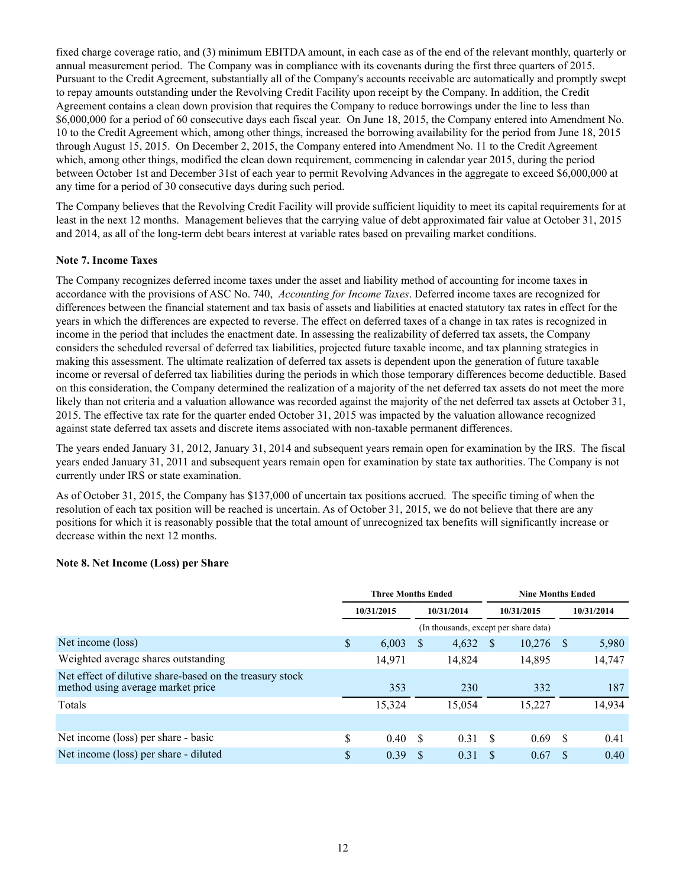fixed charge coverage ratio, and (3) minimum EBITDA amount, in each case as of the end of the relevant monthly, quarterly or annual measurement period. The Company was in compliance with its covenants during the first three quarters of 2015. Pursuant to the Credit Agreement, substantially all of the Company's accounts receivable are automatically and promptly swept to repay amounts outstanding under the Revolving Credit Facility upon receipt by the Company. In addition, the Credit Agreement contains a clean down provision that requires the Company to reduce borrowings under the line to less than \$6,000,000 for a period of 60 consecutive days each fiscal year. On June 18, 2015, the Company entered into Amendment No. 10 to the Credit Agreement which, among other things, increased the borrowing availability for the period from June 18, 2015 through August 15, 2015. On December 2, 2015, the Company entered into Amendment No. 11 to the Credit Agreement which, among other things, modified the clean down requirement, commencing in calendar year 2015, during the period between October 1st and December 31st of each year to permit Revolving Advances in the aggregate to exceed \$6,000,000 at any time for a period of 30 consecutive days during such period.

The Company believes that the Revolving Credit Facility will provide sufficient liquidity to meet its capital requirements for at least in the next 12 months. Management believes that the carrying value of debt approximated fair value at October 31, 2015 and 2014, as all of the long-term debt bears interest at variable rates based on prevailing market conditions.

#### **Note 7. Income Taxes**

The Company recognizes deferred income taxes under the asset and liability method of accounting for income taxes in accordance with the provisions of ASC No. 740, *Accounting for Income Taxes*. Deferred income taxes are recognized for differences between the financial statement and tax basis of assets and liabilities at enacted statutory tax rates in effect for the years in which the differences are expected to reverse. The effect on deferred taxes of a change in tax rates is recognized in income in the period that includes the enactment date. In assessing the realizability of deferred tax assets, the Company considers the scheduled reversal of deferred tax liabilities, projected future taxable income, and tax planning strategies in making this assessment. The ultimate realization of deferred tax assets is dependent upon the generation of future taxable income or reversal of deferred tax liabilities during the periods in which those temporary differences become deductible. Based on this consideration, the Company determined the realization of a majority of the net deferred tax assets do not meet the more likely than not criteria and a valuation allowance was recorded against the majority of the net deferred tax assets at October 31, 2015. The effective tax rate for the quarter ended October 31, 2015 was impacted by the valuation allowance recognized against state deferred tax assets and discrete items associated with non-taxable permanent differences.

The years ended January 31, 2012, January 31, 2014 and subsequent years remain open for examination by the IRS. The fiscal years ended January 31, 2011 and subsequent years remain open for examination by state tax authorities. The Company is not currently under IRS or state examination.

As of October 31, 2015, the Company has \$137,000 of uncertain tax positions accrued. The specific timing of when the resolution of each tax position will be reached is uncertain. As of October 31, 2015, we do not believe that there are any positions for which it is reasonably possible that the total amount of unrecognized tax benefits will significantly increase or decrease within the next 12 months.

#### **Note 8. Net Income (Loss) per Share**

|                                                                                               | <b>Three Months Ended</b> |        |               |                                       |          |            | <b>Nine Months Ended</b> |        |  |
|-----------------------------------------------------------------------------------------------|---------------------------|--------|---------------|---------------------------------------|----------|------------|--------------------------|--------|--|
|                                                                                               | 10/31/2015<br>10/31/2014  |        | 10/31/2015    |                                       |          | 10/31/2014 |                          |        |  |
|                                                                                               |                           |        |               | (In thousands, except per share data) |          |            |                          |        |  |
| Net income (loss)                                                                             | \$                        | 6,003  | S             | 4,632                                 | -S       | 10,276     | S                        | 5,980  |  |
| Weighted average shares outstanding                                                           |                           | 14,971 |               | 14,824                                |          | 14,895     |                          | 14,747 |  |
| Net effect of dilutive share-based on the treasury stock<br>method using average market price |                           | 353    |               | 230                                   |          | 332        |                          | 187    |  |
| Totals                                                                                        |                           | 15,324 |               | 15,054                                |          | 15,227     |                          | 14,934 |  |
|                                                                                               |                           |        |               |                                       |          |            |                          |        |  |
| Net income (loss) per share - basic                                                           | \$                        | 0.40   | <sup>\$</sup> | 0.31                                  | - \$     | 0.69       | S                        | 0.41   |  |
| Net income (loss) per share - diluted                                                         | \$                        | 0.39   | <sup>\$</sup> | 0.31                                  | <b>S</b> | 0.67       | <sup>\$</sup>            | 0.40   |  |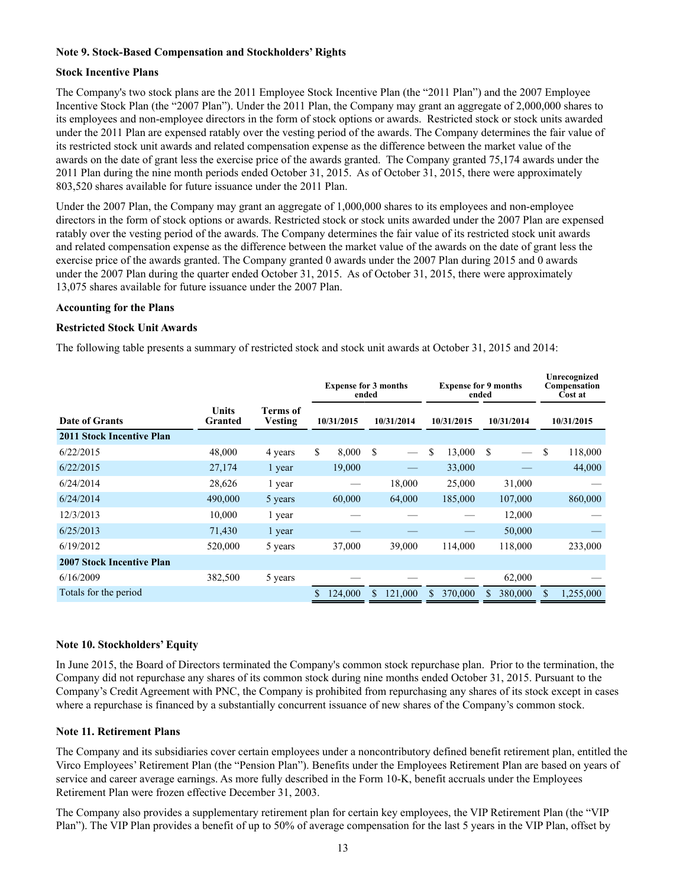#### **Note 9. Stock-Based Compensation and Stockholders' Rights**

#### **Stock Incentive Plans**

The Company's two stock plans are the 2011 Employee Stock Incentive Plan (the "2011 Plan") and the 2007 Employee Incentive Stock Plan (the "2007 Plan"). Under the 2011 Plan, the Company may grant an aggregate of 2,000,000 shares to its employees and non-employee directors in the form of stock options or awards. Restricted stock or stock units awarded under the 2011 Plan are expensed ratably over the vesting period of the awards. The Company determines the fair value of its restricted stock unit awards and related compensation expense as the difference between the market value of the awards on the date of grant less the exercise price of the awards granted. The Company granted 75,174 awards under the 2011 Plan during the nine month periods ended October 31, 2015. As of October 31, 2015, there were approximately 803,520 shares available for future issuance under the 2011 Plan.

Under the 2007 Plan, the Company may grant an aggregate of 1,000,000 shares to its employees and non-employee directors in the form of stock options or awards. Restricted stock or stock units awarded under the 2007 Plan are expensed ratably over the vesting period of the awards. The Company determines the fair value of its restricted stock unit awards and related compensation expense as the difference between the market value of the awards on the date of grant less the exercise price of the awards granted. The Company granted 0 awards under the 2007 Plan during 2015 and 0 awards under the 2007 Plan during the quarter ended October 31, 2015. As of October 31, 2015, there were approximately 13,075 shares available for future issuance under the 2007 Plan.

#### **Accounting for the Plans**

#### **Restricted Stock Unit Awards**

The following table presents a summary of restricted stock and stock unit awards at October 31, 2015 and 2014:

|                         |                     | <b>Expense for 3 months</b><br>ended |    |         |            |            |   |         |                                           |            |  |  |  | Unrecognized<br>Compensation<br>Cost at |
|-------------------------|---------------------|--------------------------------------|----|---------|------------|------------|---|---------|-------------------------------------------|------------|--|--|--|-----------------------------------------|
| <b>Units</b><br>Granted | Terms of<br>Vesting | 10/31/2015                           |    |         |            | 10/31/2015 |   |         |                                           | 10/31/2015 |  |  |  |                                         |
|                         |                     |                                      |    |         |            |            |   |         |                                           |            |  |  |  |                                         |
| 48,000                  | 4 years             | \$<br>8,000                          | \$ |         | S          | 13,000     | S |         | \$                                        | 118,000    |  |  |  |                                         |
| 27,174                  | 1 year              | 19,000                               |    |         |            | 33,000     |   |         |                                           | 44,000     |  |  |  |                                         |
| 28,626                  | 1 year              |                                      |    | 18,000  |            | 25,000     |   | 31,000  |                                           |            |  |  |  |                                         |
| 490,000                 | 5 years             | 60,000                               |    | 64,000  |            | 185,000    |   | 107,000 |                                           | 860,000    |  |  |  |                                         |
| 10,000                  | 1 year              |                                      |    |         |            |            |   | 12,000  |                                           |            |  |  |  |                                         |
| 71,430                  | 1 year              |                                      |    |         |            |            |   | 50,000  |                                           |            |  |  |  |                                         |
| 520,000                 | 5 years             | 37,000                               |    | 39,000  |            | 114,000    |   | 118,000 |                                           | 233,000    |  |  |  |                                         |
|                         |                     |                                      |    |         |            |            |   |         |                                           |            |  |  |  |                                         |
| 382,500                 | 5 years             |                                      |    |         |            |            |   | 62,000  |                                           |            |  |  |  |                                         |
|                         |                     | \$<br>124,000                        | \$ | 121,000 | \$         | 370,000    |   | 380,000 |                                           | 1,255,000  |  |  |  |                                         |
|                         |                     |                                      |    |         | 10/31/2014 |            |   | ended   | <b>Expense for 9 months</b><br>10/31/2014 |            |  |  |  |                                         |

#### **Note 10. Stockholders' Equity**

In June 2015, the Board of Directors terminated the Company's common stock repurchase plan. Prior to the termination, the Company did not repurchase any shares of its common stock during nine months ended October 31, 2015. Pursuant to the Company's Credit Agreement with PNC, the Company is prohibited from repurchasing any shares of its stock except in cases where a repurchase is financed by a substantially concurrent issuance of new shares of the Company's common stock.

#### **Note 11. Retirement Plans**

The Company and its subsidiaries cover certain employees under a noncontributory defined benefit retirement plan, entitled the Virco Employees' Retirement Plan (the "Pension Plan"). Benefits under the Employees Retirement Plan are based on years of service and career average earnings. As more fully described in the Form 10-K, benefit accruals under the Employees Retirement Plan were frozen effective December 31, 2003.

The Company also provides a supplementary retirement plan for certain key employees, the VIP Retirement Plan (the "VIP Plan"). The VIP Plan provides a benefit of up to 50% of average compensation for the last 5 years in the VIP Plan, offset by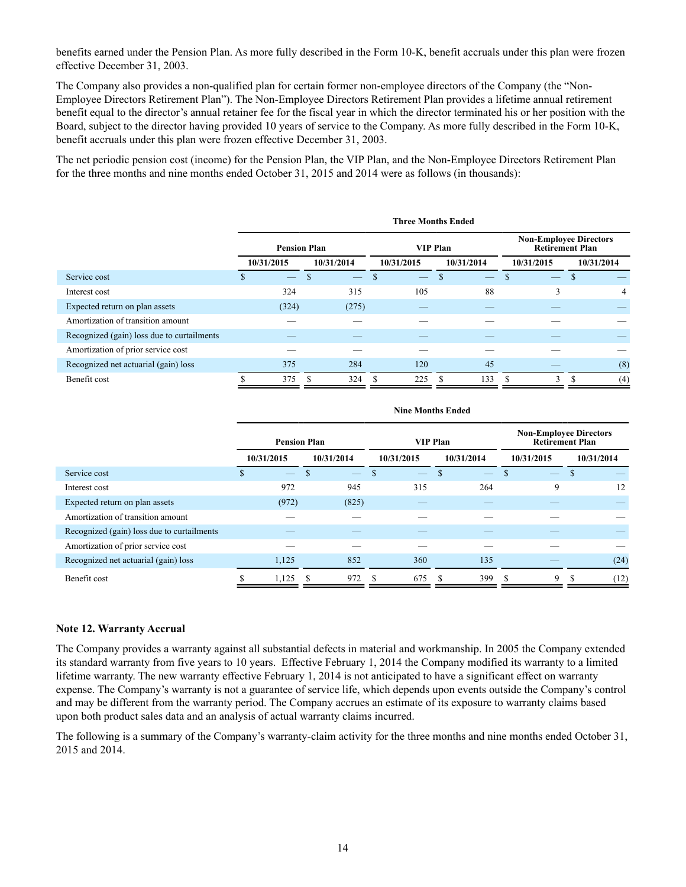benefits earned under the Pension Plan. As more fully described in the Form 10-K, benefit accruals under this plan were frozen effective December 31, 2003.

The Company also provides a non-qualified plan for certain former non-employee directors of the Company (the "Non-Employee Directors Retirement Plan"). The Non-Employee Directors Retirement Plan provides a lifetime annual retirement benefit equal to the director's annual retainer fee for the fiscal year in which the director terminated his or her position with the Board, subject to the director having provided 10 years of service to the Company. As more fully described in the Form 10-K, benefit accruals under this plan were frozen effective December 31, 2003.

The net periodic pension cost (income) for the Pension Plan, the VIP Plan, and the Non-Employee Directors Retirement Plan for the three months and nine months ended October 31, 2015 and 2014 were as follows (in thousands):

| <b>Three Months Ended</b> |       |            |                 |                                          |     |            |                                                         |            |              |            |            |
|---------------------------|-------|------------|-----------------|------------------------------------------|-----|------------|---------------------------------------------------------|------------|--------------|------------|------------|
| <b>Pension Plan</b>       |       |            | <b>VIP Plan</b> |                                          |     |            | <b>Non-Employee Directors</b><br><b>Retirement Plan</b> |            |              |            |            |
|                           |       |            |                 |                                          |     |            |                                                         |            |              |            |            |
|                           |       |            |                 |                                          |     |            | $\overline{\phantom{m}}$                                |            |              |            |            |
|                           | 324   |            |                 |                                          | 105 |            | 88                                                      |            | $\mathbf{3}$ |            | 4          |
|                           | (324) |            |                 |                                          |     |            |                                                         |            |              |            |            |
|                           |       |            |                 |                                          |     |            |                                                         |            |              |            |            |
|                           |       |            |                 |                                          |     |            |                                                         |            |              |            |            |
|                           |       |            |                 |                                          |     |            |                                                         |            |              |            |            |
|                           | 375   |            |                 |                                          | 120 |            | 45                                                      |            |              |            | (8)        |
|                           | 375   |            |                 |                                          | 225 |            | 133                                                     |            | $\mathbf{3}$ | S          | (4)        |
|                           |       | 10/31/2015 |                 | 10/31/2014<br>315<br>(275)<br>284<br>324 |     | 10/31/2015 |                                                         | 10/31/2014 |              | 10/31/2015 | 10/31/2014 |

|                                            | $\cdots$ |                     |            |                          |                 |     |               |                   |                                                         |            |   |            |
|--------------------------------------------|----------|---------------------|------------|--------------------------|-----------------|-----|---------------|-------------------|---------------------------------------------------------|------------|---|------------|
|                                            |          | <b>Pension Plan</b> |            |                          | <b>VIP Plan</b> |     |               |                   | <b>Non-Employee Directors</b><br><b>Retirement Plan</b> |            |   |            |
|                                            |          | 10/31/2015          | 10/31/2014 |                          | 10/31/2015      |     |               | 10/31/2014        |                                                         | 10/31/2015 |   | 10/31/2014 |
| Service cost                               |          | $\qquad \qquad -$   |            | $\overline{\phantom{m}}$ |                 |     |               | $\qquad \qquad -$ |                                                         |            |   |            |
| Interest cost                              |          | 972                 |            | 945                      |                 | 315 |               | 264               |                                                         | 9          |   | 12         |
| Expected return on plan assets             |          | (972)               |            | (825)                    |                 |     |               |                   |                                                         |            |   |            |
| Amortization of transition amount          |          |                     |            |                          |                 |     |               |                   |                                                         |            |   |            |
| Recognized (gain) loss due to curtailments |          |                     |            |                          |                 |     |               |                   |                                                         |            |   |            |
| Amortization of prior service cost         |          |                     |            |                          |                 |     |               |                   |                                                         |            |   |            |
| Recognized net actuarial (gain) loss       |          | 1,125               |            | 852                      |                 | 360 |               | 135               |                                                         |            |   | (24)       |
| Benefit cost                               |          | 1,125               |            | 972                      | \$              | 675 | <sup>\$</sup> | 399               | S                                                       | 9          | S | (12)       |

**Nine Months Ended**

#### **Note 12. Warranty Accrual**

The Company provides a warranty against all substantial defects in material and workmanship. In 2005 the Company extended its standard warranty from five years to 10 years. Effective February 1, 2014 the Company modified its warranty to a limited lifetime warranty. The new warranty effective February 1, 2014 is not anticipated to have a significant effect on warranty expense. The Company's warranty is not a guarantee of service life, which depends upon events outside the Company's control and may be different from the warranty period. The Company accrues an estimate of its exposure to warranty claims based upon both product sales data and an analysis of actual warranty claims incurred.

The following is a summary of the Company's warranty-claim activity for the three months and nine months ended October 31, 2015 and 2014.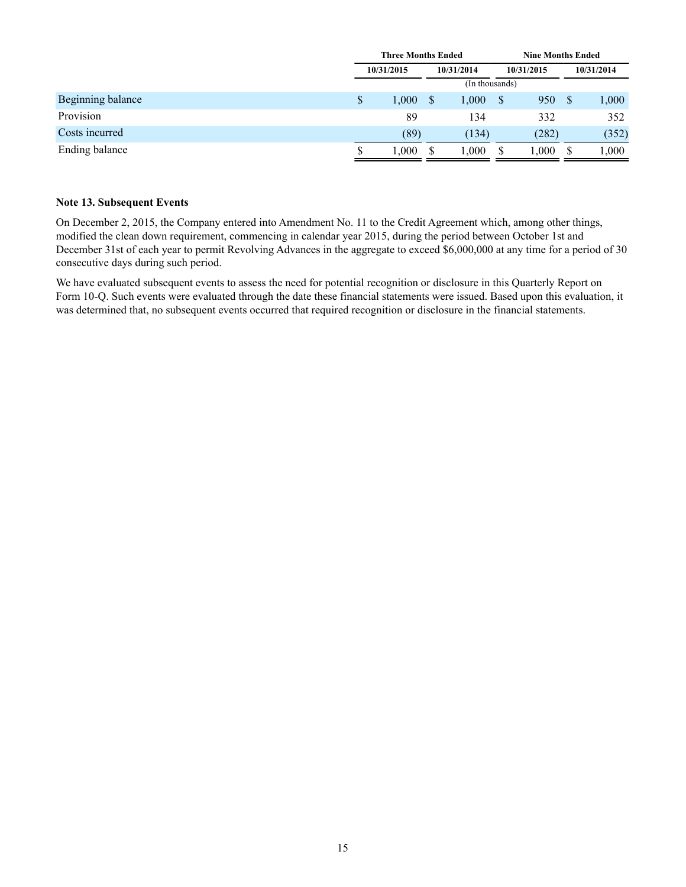|                   | <b>Three Months Ended</b> |       |            |                |            | <b>Nine Months Ended</b> |            |       |  |
|-------------------|---------------------------|-------|------------|----------------|------------|--------------------------|------------|-------|--|
|                   | 10/31/2015                |       | 10/31/2014 |                | 10/31/2015 |                          | 10/31/2014 |       |  |
|                   |                           |       |            | (In thousands) |            |                          |            |       |  |
| Beginning balance | \$                        | 1,000 |            | 1.000          | \$         | 950                      |            | 1,000 |  |
| Provision         |                           | 89    |            | 134            |            | 332                      |            | 352   |  |
| Costs incurred    |                           | (89)  |            | (134)          |            | (282)                    |            | (352) |  |
| Ending balance    |                           | 1,000 |            | 1,000          |            | 000,1                    |            | 1,000 |  |

#### **Note 13. Subsequent Events**

On December 2, 2015, the Company entered into Amendment No. 11 to the Credit Agreement which, among other things, modified the clean down requirement, commencing in calendar year 2015, during the period between October 1st and December 31st of each year to permit Revolving Advances in the aggregate to exceed \$6,000,000 at any time for a period of 30 consecutive days during such period.

We have evaluated subsequent events to assess the need for potential recognition or disclosure in this Quarterly Report on Form 10-Q. Such events were evaluated through the date these financial statements were issued. Based upon this evaluation, it was determined that, no subsequent events occurred that required recognition or disclosure in the financial statements.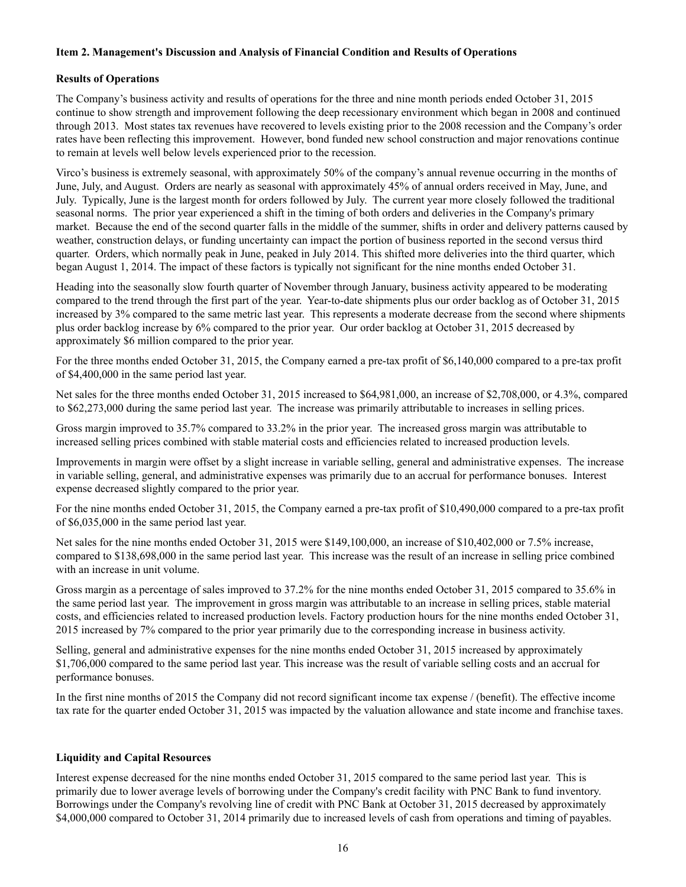#### <span id="page-16-0"></span>**Item 2. Management's Discussion and Analysis of Financial Condition and Results of Operations**

#### **Results of Operations**

The Company's business activity and results of operations for the three and nine month periods ended October 31, 2015 continue to show strength and improvement following the deep recessionary environment which began in 2008 and continued through 2013. Most states tax revenues have recovered to levels existing prior to the 2008 recession and the Company's order rates have been reflecting this improvement. However, bond funded new school construction and major renovations continue to remain at levels well below levels experienced prior to the recession.

Virco's business is extremely seasonal, with approximately 50% of the company's annual revenue occurring in the months of June, July, and August. Orders are nearly as seasonal with approximately 45% of annual orders received in May, June, and July. Typically, June is the largest month for orders followed by July. The current year more closely followed the traditional seasonal norms. The prior year experienced a shift in the timing of both orders and deliveries in the Company's primary market. Because the end of the second quarter falls in the middle of the summer, shifts in order and delivery patterns caused by weather, construction delays, or funding uncertainty can impact the portion of business reported in the second versus third quarter. Orders, which normally peak in June, peaked in July 2014. This shifted more deliveries into the third quarter, which began August 1, 2014. The impact of these factors is typically not significant for the nine months ended October 31.

Heading into the seasonally slow fourth quarter of November through January, business activity appeared to be moderating compared to the trend through the first part of the year. Year-to-date shipments plus our order backlog as of October 31, 2015 increased by 3% compared to the same metric last year. This represents a moderate decrease from the second where shipments plus order backlog increase by 6% compared to the prior year. Our order backlog at October 31, 2015 decreased by approximately \$6 million compared to the prior year.

For the three months ended October 31, 2015, the Company earned a pre-tax profit of \$6,140,000 compared to a pre-tax profit of \$4,400,000 in the same period last year.

Net sales for the three months ended October 31, 2015 increased to \$64,981,000, an increase of \$2,708,000, or 4.3%, compared to \$62,273,000 during the same period last year. The increase was primarily attributable to increases in selling prices.

Gross margin improved to 35.7% compared to 33.2% in the prior year. The increased gross margin was attributable to increased selling prices combined with stable material costs and efficiencies related to increased production levels.

Improvements in margin were offset by a slight increase in variable selling, general and administrative expenses. The increase in variable selling, general, and administrative expenses was primarily due to an accrual for performance bonuses. Interest expense decreased slightly compared to the prior year.

For the nine months ended October 31, 2015, the Company earned a pre-tax profit of \$10,490,000 compared to a pre-tax profit of \$6,035,000 in the same period last year.

Net sales for the nine months ended October 31, 2015 were \$149,100,000, an increase of \$10,402,000 or 7.5% increase, compared to \$138,698,000 in the same period last year. This increase was the result of an increase in selling price combined with an increase in unit volume.

Gross margin as a percentage of sales improved to 37.2% for the nine months ended October 31, 2015 compared to 35.6% in the same period last year. The improvement in gross margin was attributable to an increase in selling prices, stable material costs, and efficiencies related to increased production levels. Factory production hours for the nine months ended October 31, 2015 increased by 7% compared to the prior year primarily due to the corresponding increase in business activity.

Selling, general and administrative expenses for the nine months ended October 31, 2015 increased by approximately \$1,706,000 compared to the same period last year. This increase was the result of variable selling costs and an accrual for performance bonuses.

In the first nine months of 2015 the Company did not record significant income tax expense / (benefit). The effective income tax rate for the quarter ended October 31, 2015 was impacted by the valuation allowance and state income and franchise taxes.

#### **Liquidity and Capital Resources**

Interest expense decreased for the nine months ended October 31, 2015 compared to the same period last year. This is primarily due to lower average levels of borrowing under the Company's credit facility with PNC Bank to fund inventory. Borrowings under the Company's revolving line of credit with PNC Bank at October 31, 2015 decreased by approximately \$4,000,000 compared to October 31, 2014 primarily due to increased levels of cash from operations and timing of payables.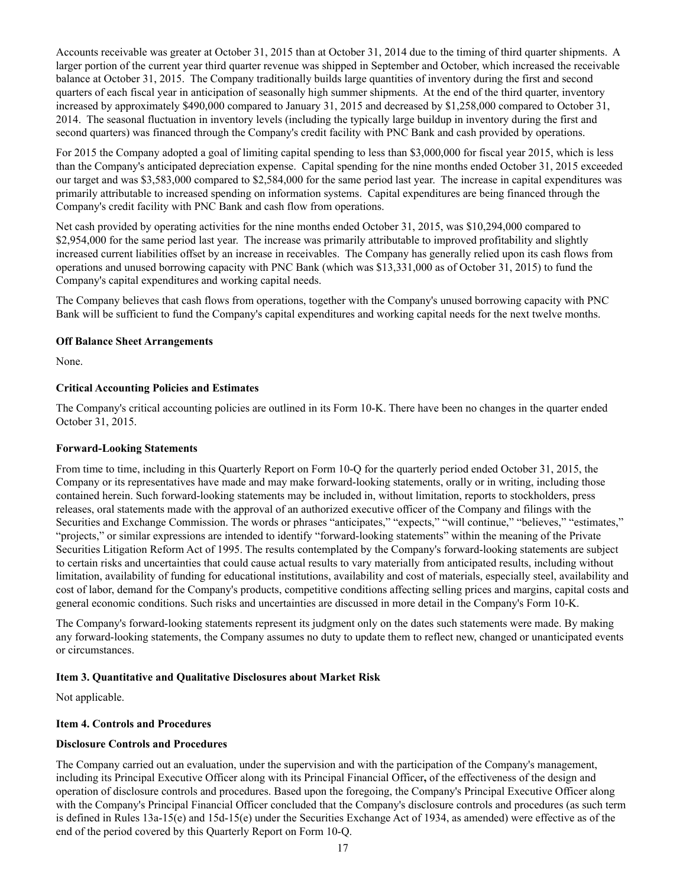Accounts receivable was greater at October 31, 2015 than at October 31, 2014 due to the timing of third quarter shipments. A larger portion of the current year third quarter revenue was shipped in September and October, which increased the receivable balance at October 31, 2015. The Company traditionally builds large quantities of inventory during the first and second quarters of each fiscal year in anticipation of seasonally high summer shipments. At the end of the third quarter, inventory increased by approximately \$490,000 compared to January 31, 2015 and decreased by \$1,258,000 compared to October 31, 2014. The seasonal fluctuation in inventory levels (including the typically large buildup in inventory during the first and second quarters) was financed through the Company's credit facility with PNC Bank and cash provided by operations.

For 2015 the Company adopted a goal of limiting capital spending to less than \$3,000,000 for fiscal year 2015, which is less than the Company's anticipated depreciation expense. Capital spending for the nine months ended October 31, 2015 exceeded our target and was \$3,583,000 compared to \$2,584,000 for the same period last year. The increase in capital expenditures was primarily attributable to increased spending on information systems. Capital expenditures are being financed through the Company's credit facility with PNC Bank and cash flow from operations.

Net cash provided by operating activities for the nine months ended October 31, 2015, was \$10,294,000 compared to \$2,954,000 for the same period last year. The increase was primarily attributable to improved profitability and slightly increased current liabilities offset by an increase in receivables. The Company has generally relied upon its cash flows from operations and unused borrowing capacity with PNC Bank (which was \$13,331,000 as of October 31, 2015) to fund the Company's capital expenditures and working capital needs.

The Company believes that cash flows from operations, together with the Company's unused borrowing capacity with PNC Bank will be sufficient to fund the Company's capital expenditures and working capital needs for the next twelve months.

#### **Off Balance Sheet Arrangements**

None.

#### **Critical Accounting Policies and Estimates**

The Company's critical accounting policies are outlined in its Form 10-K. There have been no changes in the quarter ended October 31, 2015.

#### **Forward-Looking Statements**

From time to time, including in this Quarterly Report on Form 10-Q for the quarterly period ended October 31, 2015, the Company or its representatives have made and may make forward-looking statements, orally or in writing, including those contained herein. Such forward-looking statements may be included in, without limitation, reports to stockholders, press releases, oral statements made with the approval of an authorized executive officer of the Company and filings with the Securities and Exchange Commission. The words or phrases "anticipates," "expects," "will continue," "believes," "estimates," "projects," or similar expressions are intended to identify "forward-looking statements" within the meaning of the Private Securities Litigation Reform Act of 1995. The results contemplated by the Company's forward-looking statements are subject to certain risks and uncertainties that could cause actual results to vary materially from anticipated results, including without limitation, availability of funding for educational institutions, availability and cost of materials, especially steel, availability and cost of labor, demand for the Company's products, competitive conditions affecting selling prices and margins, capital costs and general economic conditions. Such risks and uncertainties are discussed in more detail in the Company's Form 10-K.

The Company's forward-looking statements represent its judgment only on the dates such statements were made. By making any forward-looking statements, the Company assumes no duty to update them to reflect new, changed or unanticipated events or circumstances.

#### <span id="page-17-0"></span>**Item 3. Quantitative and Qualitative Disclosures about Market Risk**

Not applicable.

#### <span id="page-17-1"></span>**Item 4. Controls and Procedures**

#### **Disclosure Controls and Procedures**

The Company carried out an evaluation, under the supervision and with the participation of the Company's management, including its Principal Executive Officer along with its Principal Financial Officer**,** of the effectiveness of the design and operation of disclosure controls and procedures. Based upon the foregoing, the Company's Principal Executive Officer along with the Company's Principal Financial Officer concluded that the Company's disclosure controls and procedures (as such term is defined in Rules 13a-15(e) and 15d-15(e) under the Securities Exchange Act of 1934, as amended) were effective as of the end of the period covered by this Quarterly Report on Form 10-Q.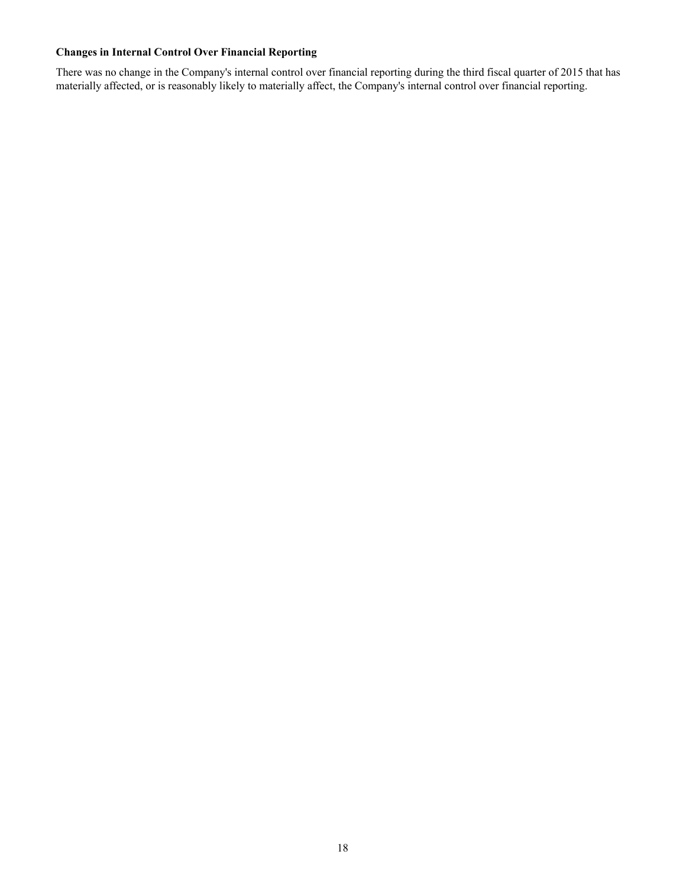#### **Changes in Internal Control Over Financial Reporting**

There was no change in the Company's internal control over financial reporting during the third fiscal quarter of 2015 that has materially affected, or is reasonably likely to materially affect, the Company's internal control over financial reporting.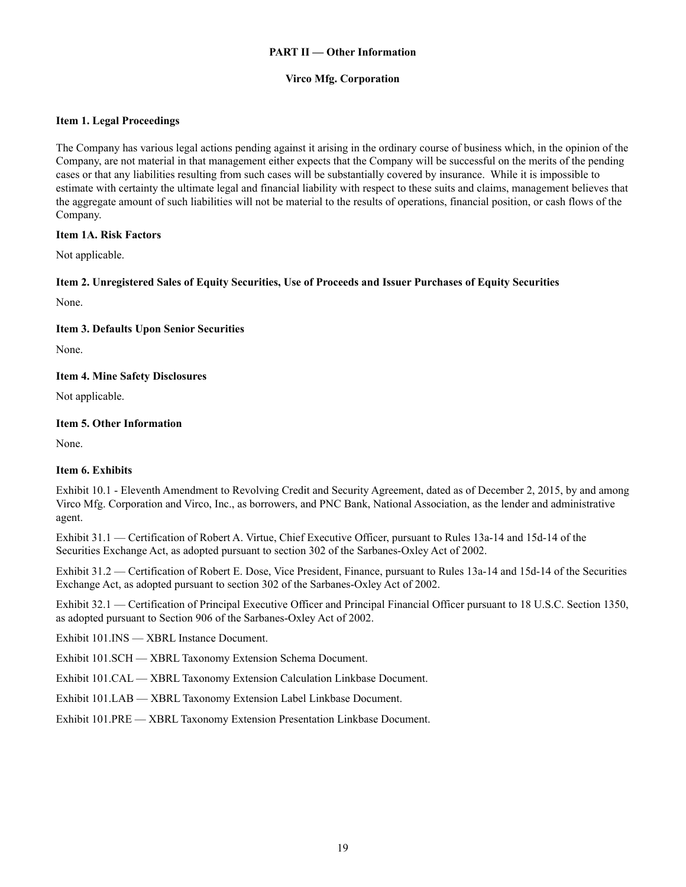#### **PART II — Other Information**

#### **Virco Mfg. Corporation**

#### <span id="page-19-1"></span><span id="page-19-0"></span>**Item 1. Legal Proceedings**

The Company has various legal actions pending against it arising in the ordinary course of business which, in the opinion of the Company, are not material in that management either expects that the Company will be successful on the merits of the pending cases or that any liabilities resulting from such cases will be substantially covered by insurance. While it is impossible to estimate with certainty the ultimate legal and financial liability with respect to these suits and claims, management believes that the aggregate amount of such liabilities will not be material to the results of operations, financial position, or cash flows of the Company.

#### <span id="page-19-2"></span>**Item 1A. Risk Factors**

Not applicable.

#### <span id="page-19-3"></span>**Item 2. [Unregistered Sales of Equity Securities, Use of Proceeds and Issuer Purchases of Equity Securities](#page-19-3)**

None.

#### <span id="page-19-5"></span>**Item 3. Defaults Upon Senior Securities**

None.

#### <span id="page-19-6"></span>**Item 4. Mine Safety Disclosures**

Not applicable.

#### <span id="page-19-7"></span>**Item 5. Other Information**

None.

#### <span id="page-19-4"></span>**Item 6. Exhibits**

Exhibit 10.1 - Eleventh Amendment to Revolving Credit and Security Agreement, dated as of December 2, 2015, by and among Virco Mfg. Corporation and Virco, Inc., as borrowers, and PNC Bank, National Association, as the lender and administrative agent.

Exhibit 31.1 — Certification of Robert A. Virtue, Chief Executive Officer, pursuant to Rules 13a-14 and 15d-14 of the Securities Exchange Act, as adopted pursuant to section 302 of the Sarbanes-Oxley Act of 2002.

Exhibit 31.2 — Certification of Robert E. Dose, Vice President, Finance, pursuant to Rules 13a-14 and 15d-14 of the Securities Exchange Act, as adopted pursuant to section 302 of the Sarbanes-Oxley Act of 2002.

Exhibit 32.1 — Certification of Principal Executive Officer and Principal Financial Officer pursuant to 18 U.S.C. Section 1350, as adopted pursuant to Section 906 of the Sarbanes-Oxley Act of 2002.

Exhibit 101.INS — XBRL Instance Document.

Exhibit 101.SCH — XBRL Taxonomy Extension Schema Document.

Exhibit 101.CAL — XBRL Taxonomy Extension Calculation Linkbase Document.

Exhibit 101.LAB — XBRL Taxonomy Extension Label Linkbase Document.

Exhibit 101.PRE — XBRL Taxonomy Extension Presentation Linkbase Document.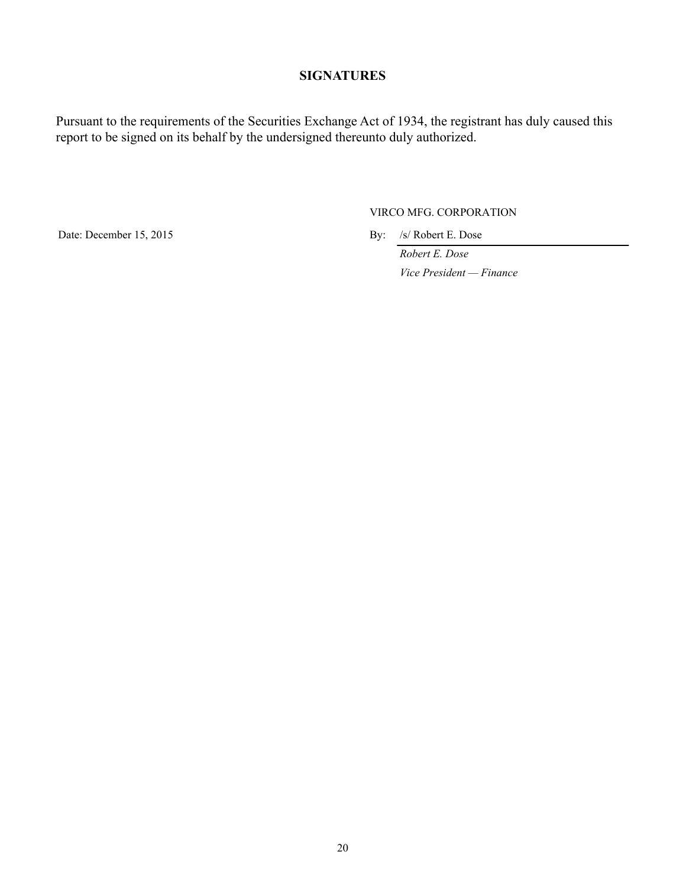## **SIGNATURES**

Pursuant to the requirements of the Securities Exchange Act of 1934, the registrant has duly caused this report to be signed on its behalf by the undersigned thereunto duly authorized.

VIRCO MFG. CORPORATION

Date: December 15, 2015 By: /s/ Robert E. Dose

*Robert E. Dose Vice President — Finance*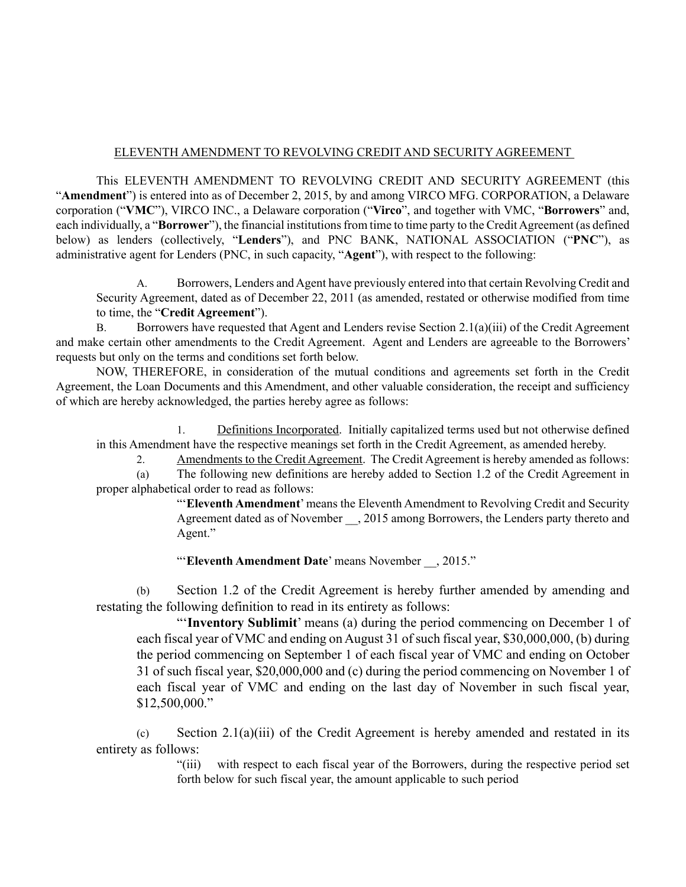## ELEVENTH AMENDMENT TO REVOLVING CREDIT AND SECURITY AGREEMENT

This ELEVENTH AMENDMENT TO REVOLVING CREDIT AND SECURITY AGREEMENT (this "**Amendment**") is entered into as of December 2, 2015, by and among VIRCO MFG. CORPORATION, a Delaware corporation ("**VMC**"), VIRCO INC., a Delaware corporation ("**Virco**", and together with VMC, "**Borrowers**" and, each individually, a "**Borrower**"), the financial institutions from time to time party to the Credit Agreement (as defined below) as lenders (collectively, "**Lenders**"), and PNC BANK, NATIONAL ASSOCIATION ("**PNC**"), as administrative agent for Lenders (PNC, in such capacity, "**Agent**"), with respect to the following:

A. Borrowers, Lenders and Agent have previously entered into that certain Revolving Credit and Security Agreement, dated as of December 22, 2011 (as amended, restated or otherwise modified from time to time, the "**Credit Agreement**").

B. Borrowers have requested that Agent and Lenders revise Section 2.1(a)(iii) of the Credit Agreement and make certain other amendments to the Credit Agreement. Agent and Lenders are agreeable to the Borrowers' requests but only on the terms and conditions set forth below.

NOW, THEREFORE, in consideration of the mutual conditions and agreements set forth in the Credit Agreement, the Loan Documents and this Amendment, and other valuable consideration, the receipt and sufficiency of which are hereby acknowledged, the parties hereby agree as follows:

1. Definitions Incorporated. Initially capitalized terms used but not otherwise defined in this Amendment have the respective meanings set forth in the Credit Agreement, as amended hereby.

2. Amendments to the Credit Agreement. The Credit Agreement is hereby amended as follows:

(a) The following new definitions are hereby added to Section 1.2 of the Credit Agreement in proper alphabetical order to read as follows:

> "'**Eleventh Amendment**'means the Eleventh Amendment to Revolving Credit and Security Agreement dated as of November \_\_, 2015 among Borrowers, the Lenders party thereto and Agent."

"'**Eleventh Amendment Date**' means November \_\_, 2015."

(b) Section 1.2 of the Credit Agreement is hereby further amended by amending and restating the following definition to read in its entirety as follows:

"'**Inventory Sublimit**' means (a) during the period commencing on December 1 of each fiscal year of VMC and ending on August 31 of such fiscal year, \$30,000,000, (b) during the period commencing on September 1 of each fiscal year of VMC and ending on October 31 of such fiscal year, \$20,000,000 and (c) during the period commencing on November 1 of each fiscal year of VMC and ending on the last day of November in such fiscal year, \$12,500,000."

(c) Section 2.1(a)(iii) of the Credit Agreement is hereby amended and restated in its entirety as follows:

> "(iii) with respect to each fiscal year of the Borrowers, during the respective period set forth below for such fiscal year, the amount applicable to such period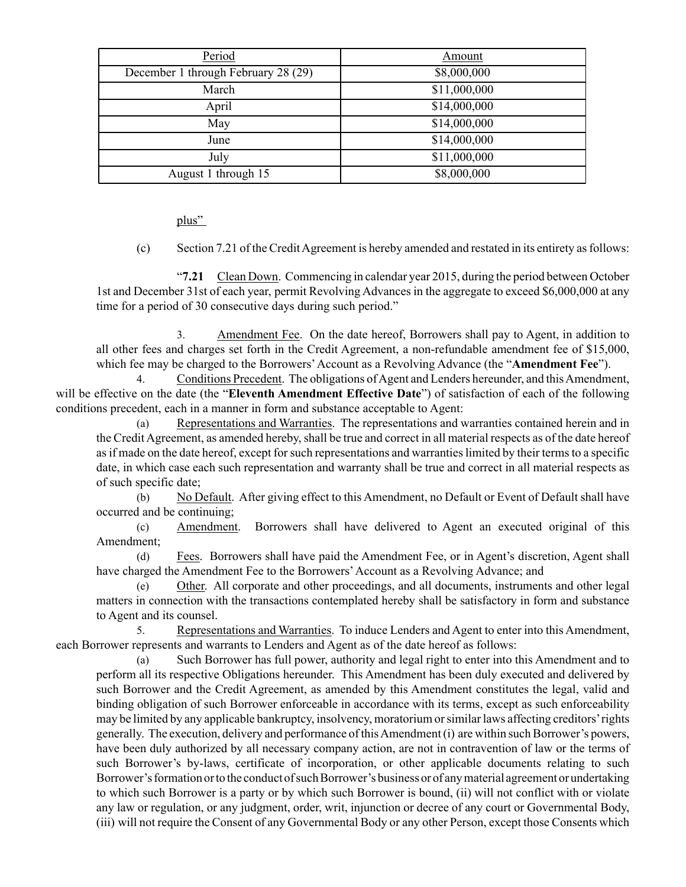| Period                              | Amount       |
|-------------------------------------|--------------|
| December 1 through February 28 (29) | \$8,000,000  |
| March                               | \$11,000,000 |
| April                               | \$14,000,000 |
| May                                 | \$14,000,000 |
| June                                | \$14,000,000 |
| July                                | \$11,000,000 |
| August 1 through 15                 | \$8,000,000  |

plus"

(c) Section 7.21 of the Credit Agreement is hereby amended and restated in its entirety as follows:

"**7.21** Clean Down. Commencing in calendar year 2015, during the period between October 1st and December 31st of each year, permit Revolving Advances in the aggregate to exceed \$6,000,000 at any time for a period of 30 consecutive days during such period."

3. Amendment Fee. On the date hereof, Borrowers shall pay to Agent, in addition to all other fees and charges set forth in the Credit Agreement, a non-refundable amendment fee of \$15,000, which fee may be charged to the Borrowers'Account as a Revolving Advance (the "**Amendment Fee**").

4. Conditions Precedent. The obligations of Agent and Lenders hereunder, and this Amendment, will be effective on the date (the "**Eleventh Amendment Effective Date**") of satisfaction of each of the following conditions precedent, each in a manner in form and substance acceptable to Agent:

(a) Representations and Warranties. The representations and warranties contained herein and in the Credit Agreement, as amended hereby, shall be true and correct in all material respects as of the date hereof as if made on the date hereof, except for such representations and warranties limited by their terms to a specific date, in which case each such representation and warranty shall be true and correct in all material respects as of such specific date;

(b) No Default. After giving effect to this Amendment, no Default or Event of Default shall have occurred and be continuing;

(c) Amendment. Borrowers shall have delivered to Agent an executed original of this Amendment;

(d) Fees. Borrowers shall have paid the Amendment Fee, or in Agent's discretion, Agent shall have charged the Amendment Fee to the Borrowers' Account as a Revolving Advance; and

(e) Other. All corporate and other proceedings, and all documents, instruments and other legal matters in connection with the transactions contemplated hereby shall be satisfactory in form and substance to Agent and its counsel.

5. Representations and Warranties. To induce Lenders and Agent to enter into this Amendment, each Borrower represents and warrants to Lenders and Agent as of the date hereof as follows:

(a) Such Borrower has full power, authority and legal right to enter into this Amendment and to perform all its respective Obligations hereunder. This Amendment has been duly executed and delivered by such Borrower and the Credit Agreement, as amended by this Amendment constitutes the legal, valid and binding obligation of such Borrower enforceable in accordance with its terms, except as such enforceability may be limited by any applicable bankruptcy, insolvency, moratorium or similar laws affecting creditors'rights generally. The execution, delivery and performance of this Amendment (i) are within such Borrower's powers, have been duly authorized by all necessary company action, are not in contravention of law or the terms of such Borrower's by-laws, certificate of incorporation, or other applicable documents relating to such Borrower's formation or to the conduct of such Borrower's business or of any material agreement or undertaking to which such Borrower is a party or by which such Borrower is bound, (ii) will not conflict with or violate any law or regulation, or any judgment, order, writ, injunction or decree of any court or Governmental Body, (iii) will not require the Consent of any Governmental Body or any other Person, except those Consents which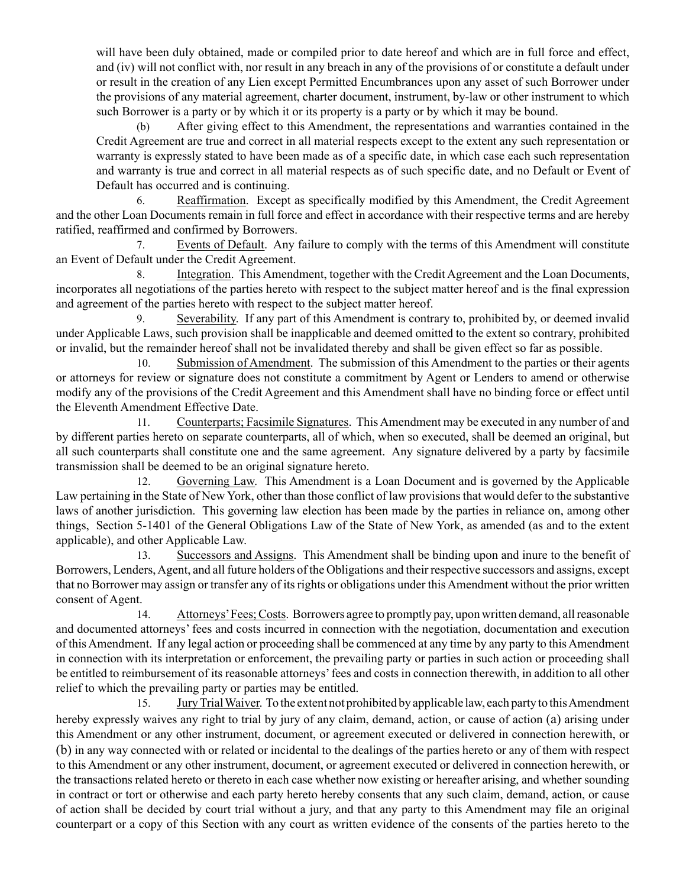will have been duly obtained, made or compiled prior to date hereof and which are in full force and effect, and (iv) will not conflict with, nor result in any breach in any of the provisions of or constitute a default under or result in the creation of any Lien except Permitted Encumbrances upon any asset of such Borrower under the provisions of any material agreement, charter document, instrument, by-law or other instrument to which such Borrower is a party or by which it or its property is a party or by which it may be bound.

(b) After giving effect to this Amendment, the representations and warranties contained in the Credit Agreement are true and correct in all material respects except to the extent any such representation or warranty is expressly stated to have been made as of a specific date, in which case each such representation and warranty is true and correct in all material respects as of such specific date, and no Default or Event of Default has occurred and is continuing.

6. Reaffirmation. Except as specifically modified by this Amendment, the Credit Agreement and the other Loan Documents remain in full force and effect in accordance with their respective terms and are hereby ratified, reaffirmed and confirmed by Borrowers.

7. Events of Default. Any failure to comply with the terms of this Amendment will constitute an Event of Default under the Credit Agreement.

8. Integration. This Amendment, together with the Credit Agreement and the Loan Documents, incorporates all negotiations of the parties hereto with respect to the subject matter hereof and is the final expression and agreement of the parties hereto with respect to the subject matter hereof.

9. Severability. If any part of this Amendment is contrary to, prohibited by, or deemed invalid under Applicable Laws, such provision shall be inapplicable and deemed omitted to the extent so contrary, prohibited or invalid, but the remainder hereof shall not be invalidated thereby and shall be given effect so far as possible.

10. Submission of Amendment. The submission of this Amendment to the parties or their agents or attorneys for review or signature does not constitute a commitment by Agent or Lenders to amend or otherwise modify any of the provisions of the Credit Agreement and this Amendment shall have no binding force or effect until the Eleventh Amendment Effective Date.

11. Counterparts; Facsimile Signatures. This Amendment may be executed in any number of and by different parties hereto on separate counterparts, all of which, when so executed, shall be deemed an original, but all such counterparts shall constitute one and the same agreement. Any signature delivered by a party by facsimile transmission shall be deemed to be an original signature hereto.

12. Governing Law. This Amendment is a Loan Document and is governed by the Applicable Law pertaining in the State of New York, other than those conflict of law provisions that would defer to the substantive laws of another jurisdiction. This governing law election has been made by the parties in reliance on, among other things, Section 5-1401 of the General Obligations Law of the State of New York, as amended (as and to the extent applicable), and other Applicable Law.

13. Successors and Assigns. This Amendment shall be binding upon and inure to the benefit of Borrowers, Lenders, Agent, and all future holders of the Obligations and their respective successors and assigns, except that no Borrower may assign or transfer any of its rights or obligations under this Amendment without the prior written consent of Agent.

14. Attorneys'Fees; Costs. Borrowers agree to promptly pay, upon written demand, all reasonable and documented attorneys' fees and costs incurred in connection with the negotiation, documentation and execution of this Amendment. If any legal action or proceeding shall be commenced at any time by any party to this Amendment in connection with its interpretation or enforcement, the prevailing party or parties in such action or proceeding shall be entitled to reimbursement of its reasonable attorneys' fees and costs in connection therewith, in addition to all other relief to which the prevailing party or parties may be entitled.

15. Jury Trial Waiver. To the extent not prohibited by applicable law, each party to this Amendment hereby expressly waives any right to trial by jury of any claim, demand, action, or cause of action (a) arising under this Amendment or any other instrument, document, or agreement executed or delivered in connection herewith, or (b) in any way connected with or related or incidental to the dealings of the parties hereto or any of them with respect to this Amendment or any other instrument, document, or agreement executed or delivered in connection herewith, or the transactions related hereto or thereto in each case whether now existing or hereafter arising, and whether sounding in contract or tort or otherwise and each party hereto hereby consents that any such claim, demand, action, or cause of action shall be decided by court trial without a jury, and that any party to this Amendment may file an original counterpart or a copy of this Section with any court as written evidence of the consents of the parties hereto to the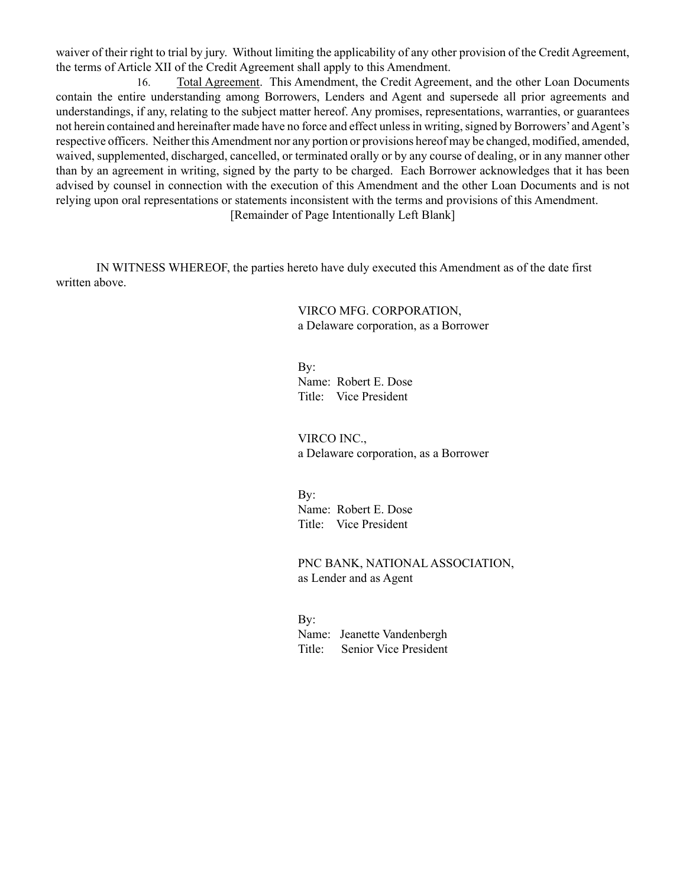waiver of their right to trial by jury. Without limiting the applicability of any other provision of the Credit Agreement, the terms of Article XII of the Credit Agreement shall apply to this Amendment.

16. Total Agreement. This Amendment, the Credit Agreement, and the other Loan Documents contain the entire understanding among Borrowers, Lenders and Agent and supersede all prior agreements and understandings, if any, relating to the subject matter hereof. Any promises, representations, warranties, or guarantees not herein contained and hereinafter made have no force and effect unless in writing, signed by Borrowers'and Agent's respective officers. Neither this Amendment nor any portion or provisions hereof may be changed, modified, amended, waived, supplemented, discharged, cancelled, or terminated orally or by any course of dealing, or in any manner other than by an agreement in writing, signed by the party to be charged. Each Borrower acknowledges that it has been advised by counsel in connection with the execution of this Amendment and the other Loan Documents and is not relying upon oral representations or statements inconsistent with the terms and provisions of this Amendment. [Remainder of Page Intentionally Left Blank]

IN WITNESS WHEREOF, the parties hereto have duly executed this Amendment as of the date first written above.

> VIRCO MFG. CORPORATION, a Delaware corporation, as a Borrower

By: Name: Robert E. Dose Title: Vice President

VIRCO INC., a Delaware corporation, as a Borrower

By: Name: Robert E. Dose Title: Vice President

PNC BANK, NATIONAL ASSOCIATION, as Lender and as Agent

By: Name: Jeanette Vandenbergh Title: Senior Vice President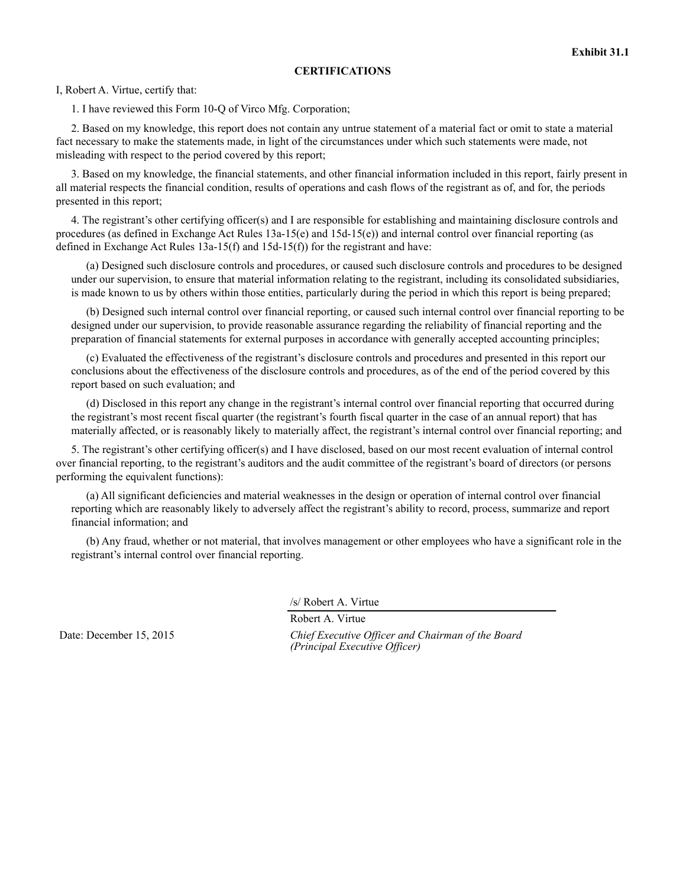#### **CERTIFICATIONS**

I, Robert A. Virtue, certify that:

1. I have reviewed this Form 10-Q of Virco Mfg. Corporation;

2. Based on my knowledge, this report does not contain any untrue statement of a material fact or omit to state a material fact necessary to make the statements made, in light of the circumstances under which such statements were made, not misleading with respect to the period covered by this report;

3. Based on my knowledge, the financial statements, and other financial information included in this report, fairly present in all material respects the financial condition, results of operations and cash flows of the registrant as of, and for, the periods presented in this report;

4. The registrant's other certifying officer(s) and I are responsible for establishing and maintaining disclosure controls and procedures (as defined in Exchange Act Rules 13a-15(e) and 15d-15(e)) and internal control over financial reporting (as defined in Exchange Act Rules 13a-15(f) and 15d-15(f)) for the registrant and have:

(a) Designed such disclosure controls and procedures, or caused such disclosure controls and procedures to be designed under our supervision, to ensure that material information relating to the registrant, including its consolidated subsidiaries, is made known to us by others within those entities, particularly during the period in which this report is being prepared;

(b) Designed such internal control over financial reporting, or caused such internal control over financial reporting to be designed under our supervision, to provide reasonable assurance regarding the reliability of financial reporting and the preparation of financial statements for external purposes in accordance with generally accepted accounting principles;

(c) Evaluated the effectiveness of the registrant's disclosure controls and procedures and presented in this report our conclusions about the effectiveness of the disclosure controls and procedures, as of the end of the period covered by this report based on such evaluation; and

(d) Disclosed in this report any change in the registrant's internal control over financial reporting that occurred during the registrant's most recent fiscal quarter (the registrant's fourth fiscal quarter in the case of an annual report) that has materially affected, or is reasonably likely to materially affect, the registrant's internal control over financial reporting; and

5. The registrant's other certifying officer(s) and I have disclosed, based on our most recent evaluation of internal control over financial reporting, to the registrant's auditors and the audit committee of the registrant's board of directors (or persons performing the equivalent functions):

(a) All significant deficiencies and material weaknesses in the design or operation of internal control over financial reporting which are reasonably likely to adversely affect the registrant's ability to record, process, summarize and report financial information; and

(b) Any fraud, whether or not material, that involves management or other employees who have a significant role in the registrant's internal control over financial reporting.

/s/ Robert A. Virtue

Robert A. Virtue

Date: December 15, 2015 *Chief Executive Officer and Chairman of the Board (Principal Executive Officer)*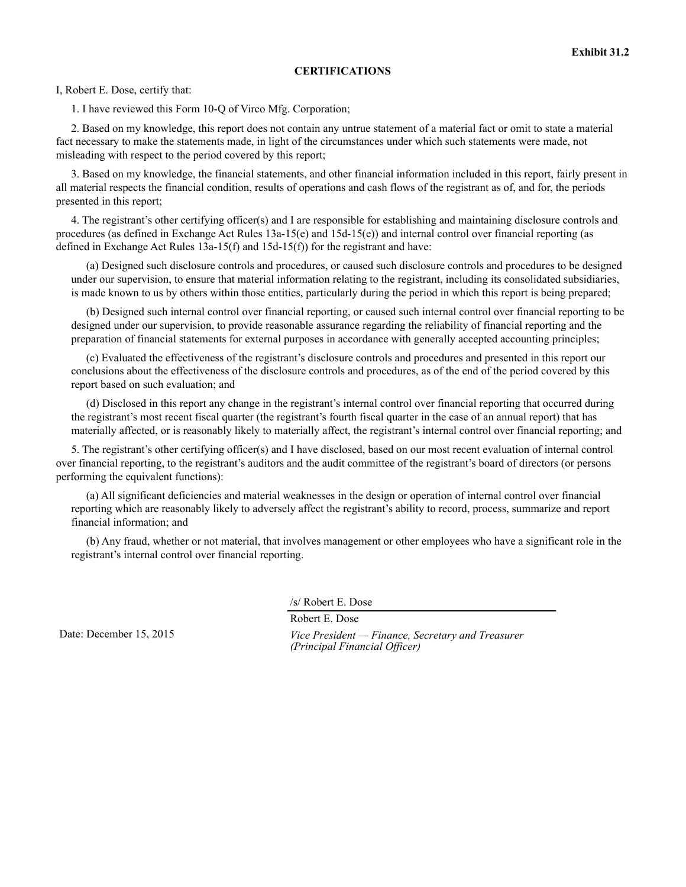#### **CERTIFICATIONS**

I, Robert E. Dose, certify that:

1. I have reviewed this Form 10-Q of Virco Mfg. Corporation;

2. Based on my knowledge, this report does not contain any untrue statement of a material fact or omit to state a material fact necessary to make the statements made, in light of the circumstances under which such statements were made, not misleading with respect to the period covered by this report;

3. Based on my knowledge, the financial statements, and other financial information included in this report, fairly present in all material respects the financial condition, results of operations and cash flows of the registrant as of, and for, the periods presented in this report;

4. The registrant's other certifying officer(s) and I are responsible for establishing and maintaining disclosure controls and procedures (as defined in Exchange Act Rules 13a-15(e) and 15d-15(e)) and internal control over financial reporting (as defined in Exchange Act Rules 13a-15(f) and 15d-15(f)) for the registrant and have:

(a) Designed such disclosure controls and procedures, or caused such disclosure controls and procedures to be designed under our supervision, to ensure that material information relating to the registrant, including its consolidated subsidiaries, is made known to us by others within those entities, particularly during the period in which this report is being prepared;

(b) Designed such internal control over financial reporting, or caused such internal control over financial reporting to be designed under our supervision, to provide reasonable assurance regarding the reliability of financial reporting and the preparation of financial statements for external purposes in accordance with generally accepted accounting principles;

(c) Evaluated the effectiveness of the registrant's disclosure controls and procedures and presented in this report our conclusions about the effectiveness of the disclosure controls and procedures, as of the end of the period covered by this report based on such evaluation; and

(d) Disclosed in this report any change in the registrant's internal control over financial reporting that occurred during the registrant's most recent fiscal quarter (the registrant's fourth fiscal quarter in the case of an annual report) that has materially affected, or is reasonably likely to materially affect, the registrant's internal control over financial reporting; and

5. The registrant's other certifying officer(s) and I have disclosed, based on our most recent evaluation of internal control over financial reporting, to the registrant's auditors and the audit committee of the registrant's board of directors (or persons performing the equivalent functions):

(a) All significant deficiencies and material weaknesses in the design or operation of internal control over financial reporting which are reasonably likely to adversely affect the registrant's ability to record, process, summarize and report financial information; and

(b) Any fraud, whether or not material, that involves management or other employees who have a significant role in the registrant's internal control over financial reporting.

> /s/ Robert E. Dose Robert E. Dose

Date: December 15, 2015 *Vice President — Finance, Secretary and Treasurer (Principal Financial Officer)*